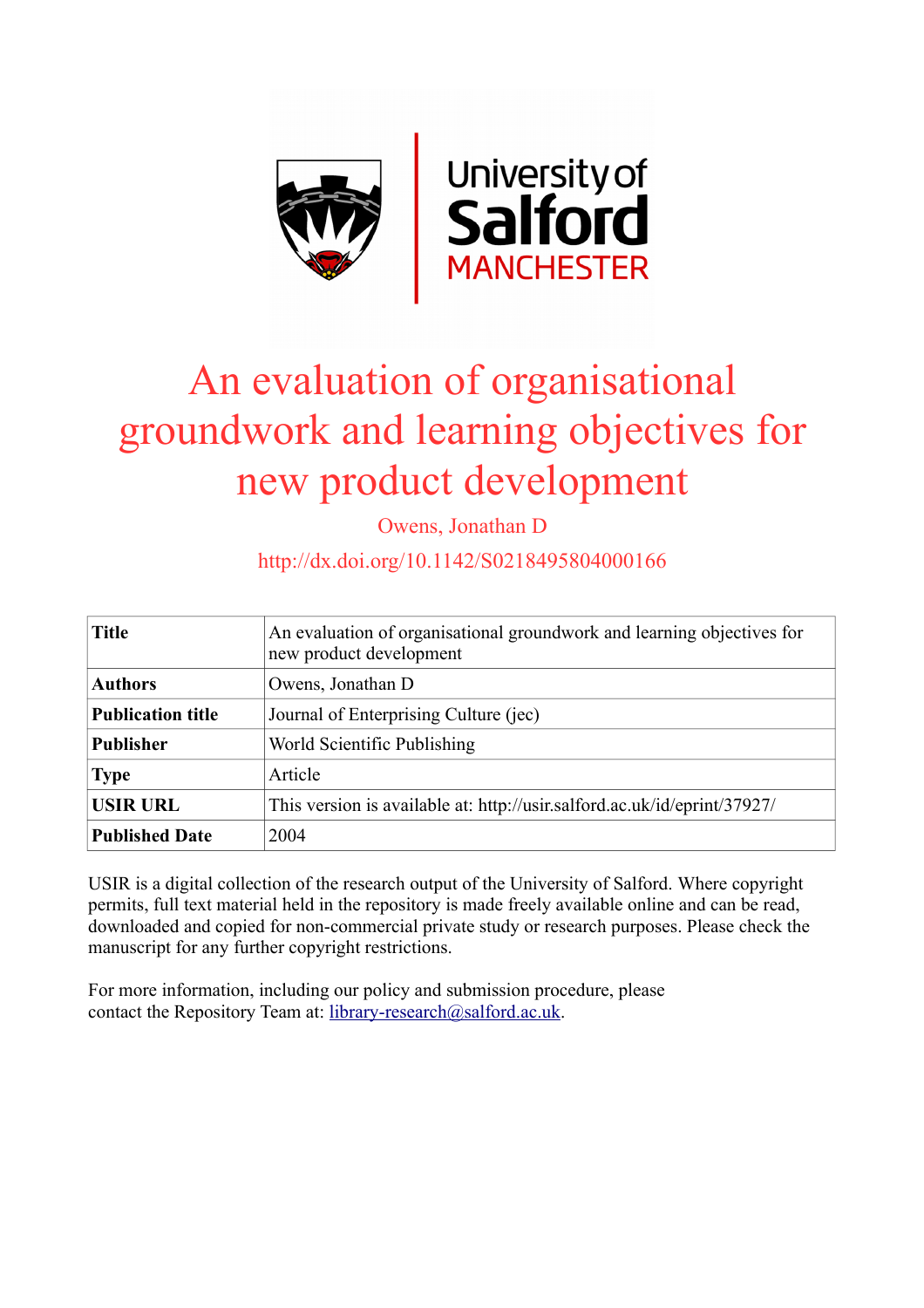

# An evaluation of organisational groundwork and learning objectives for new product development

Owens, Jonathan D

## http://dx.doi.org/10.1142/S0218495804000166

| <b>Title</b>             | An evaluation of organisational groundwork and learning objectives for<br>new product development |  |
|--------------------------|---------------------------------------------------------------------------------------------------|--|
| <b>Authors</b>           | Owens, Jonathan D                                                                                 |  |
| <b>Publication title</b> | Journal of Enterprising Culture (jec)                                                             |  |
| <b>Publisher</b>         | World Scientific Publishing                                                                       |  |
| <b>Type</b>              | Article                                                                                           |  |
| <b>USIR URL</b>          | This version is available at: http://usir.salford.ac.uk/id/eprint/37927/                          |  |
| <b>Published Date</b>    | 2004                                                                                              |  |

USIR is a digital collection of the research output of the University of Salford. Where copyright permits, full text material held in the repository is made freely available online and can be read, downloaded and copied for non-commercial private study or research purposes. Please check the manuscript for any further copyright restrictions.

For more information, including our policy and submission procedure, please contact the Repository Team at: [library-research@salford.ac.uk.](mailto:library-research@salford.ac.uk)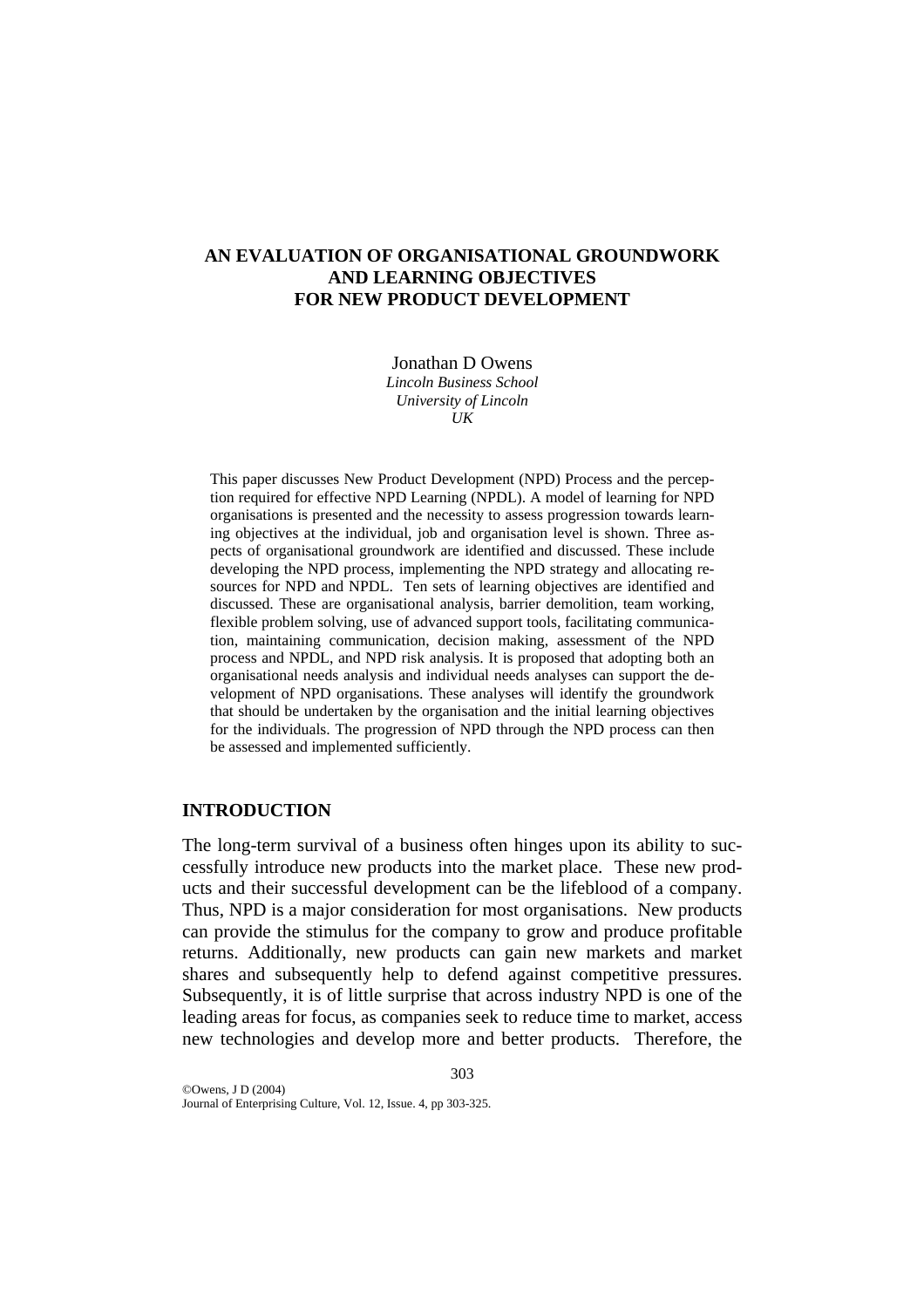## **AN EVALUATION OF ORGANISATIONAL GROUNDWORK AND LEARNING OBJECTIVES FOR NEW PRODUCT DEVELOPMENT**

Jonathan D Owens *Lincoln Business School University of Lincoln UK*

This paper discusses New Product Development (NPD) Process and the perception required for effective NPD Learning (NPDL). A model of learning for NPD organisations is presented and the necessity to assess progression towards learning objectives at the individual, job and organisation level is shown. Three aspects of organisational groundwork are identified and discussed. These include developing the NPD process, implementing the NPD strategy and allocating resources for NPD and NPDL. Ten sets of learning objectives are identified and discussed. These are organisational analysis, barrier demolition, team working, flexible problem solving, use of advanced support tools, facilitating communication, maintaining communication, decision making, assessment of the NPD process and NPDL, and NPD risk analysis. It is proposed that adopting both an organisational needs analysis and individual needs analyses can support the development of NPD organisations. These analyses will identify the groundwork that should be undertaken by the organisation and the initial learning objectives for the individuals. The progression of NPD through the NPD process can then be assessed and implemented sufficiently.

## **INTRODUCTION**

The long-term survival of a business often hinges upon its ability to successfully introduce new products into the market place. These new products and their successful development can be the lifeblood of a company. Thus, NPD is a major consideration for most organisations. New products can provide the stimulus for the company to grow and produce profitable returns. Additionally, new products can gain new markets and market shares and subsequently help to defend against competitive pressures. Subsequently, it is of little surprise that across industry NPD is one of the leading areas for focus, as companies seek to reduce time to market, access new technologies and develop more and better products. Therefore, the

303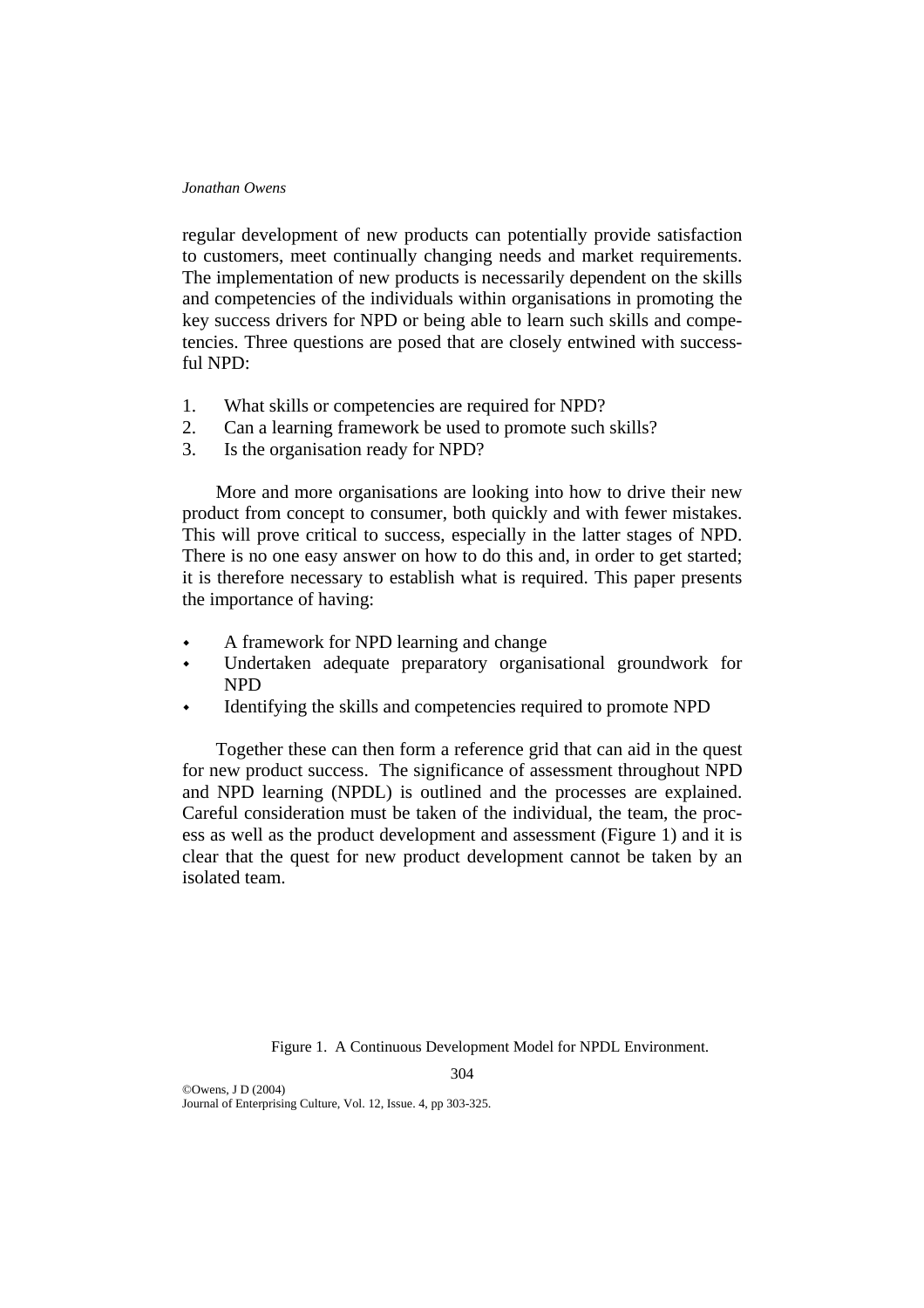regular development of new products can potentially provide satisfaction to customers, meet continually changing needs and market requirements. The implementation of new products is necessarily dependent on the skills and competencies of the individuals within organisations in promoting the key success drivers for NPD or being able to learn such skills and competencies. Three questions are posed that are closely entwined with successful NPD:

- 1. What skills or competencies are required for NPD?
- 2. Can a learning framework be used to promote such skills?
- 3. Is the organisation ready for NPD?

More and more organisations are looking into how to drive their new product from concept to consumer, both quickly and with fewer mistakes. This will prove critical to success, especially in the latter stages of NPD. There is no one easy answer on how to do this and, in order to get started; it is therefore necessary to establish what is required. This paper presents the importance of having:

- A framework for NPD learning and change
- Undertaken adequate preparatory organisational groundwork for NPD
- Identifying the skills and competencies required to promote NPD

Together these can then form a reference grid that can aid in the quest for new product success. The significance of assessment throughout NPD and NPD learning (NPDL) is outlined and the processes are explained. Careful consideration must be taken of the individual, the team, the process as well as the product development and assessment (Figure 1) and it is clear that the quest for new product development cannot be taken by an isolated team.

Figure 1. A Continuous Development Model for NPDL Environment.

304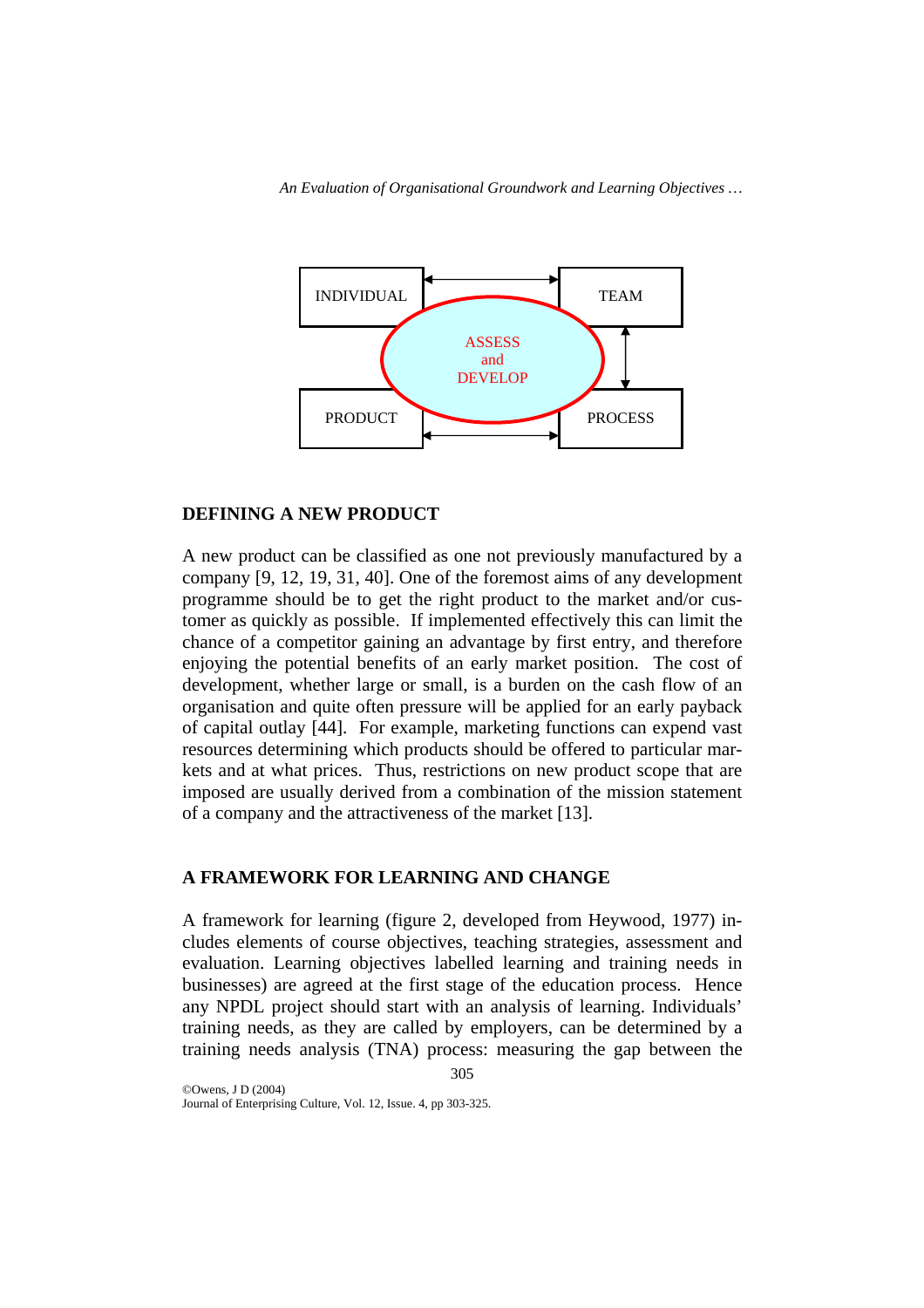

## **DEFINING A NEW PRODUCT**

A new product can be classified as one not previously manufactured by a company [9, 12, 19, 31, 40]. One of the foremost aims of any development programme should be to get the right product to the market and/or customer as quickly as possible. If implemented effectively this can limit the chance of a competitor gaining an advantage by first entry, and therefore enjoying the potential benefits of an early market position. The cost of development, whether large or small, is a burden on the cash flow of an organisation and quite often pressure will be applied for an early payback of capital outlay [44]. For example, marketing functions can expend vast resources determining which products should be offered to particular markets and at what prices. Thus, restrictions on new product scope that are imposed are usually derived from a combination of the mission statement of a company and the attractiveness of the market [13].

## **A FRAMEWORK FOR LEARNING AND CHANGE**

A framework for learning (figure 2, developed from Heywood, 1977) includes elements of course objectives, teaching strategies, assessment and evaluation. Learning objectives labelled learning and training needs in businesses) are agreed at the first stage of the education process. Hence any NPDL project should start with an analysis of learning. Individuals' training needs, as they are called by employers, can be determined by a training needs analysis (TNA) process: measuring the gap between the

305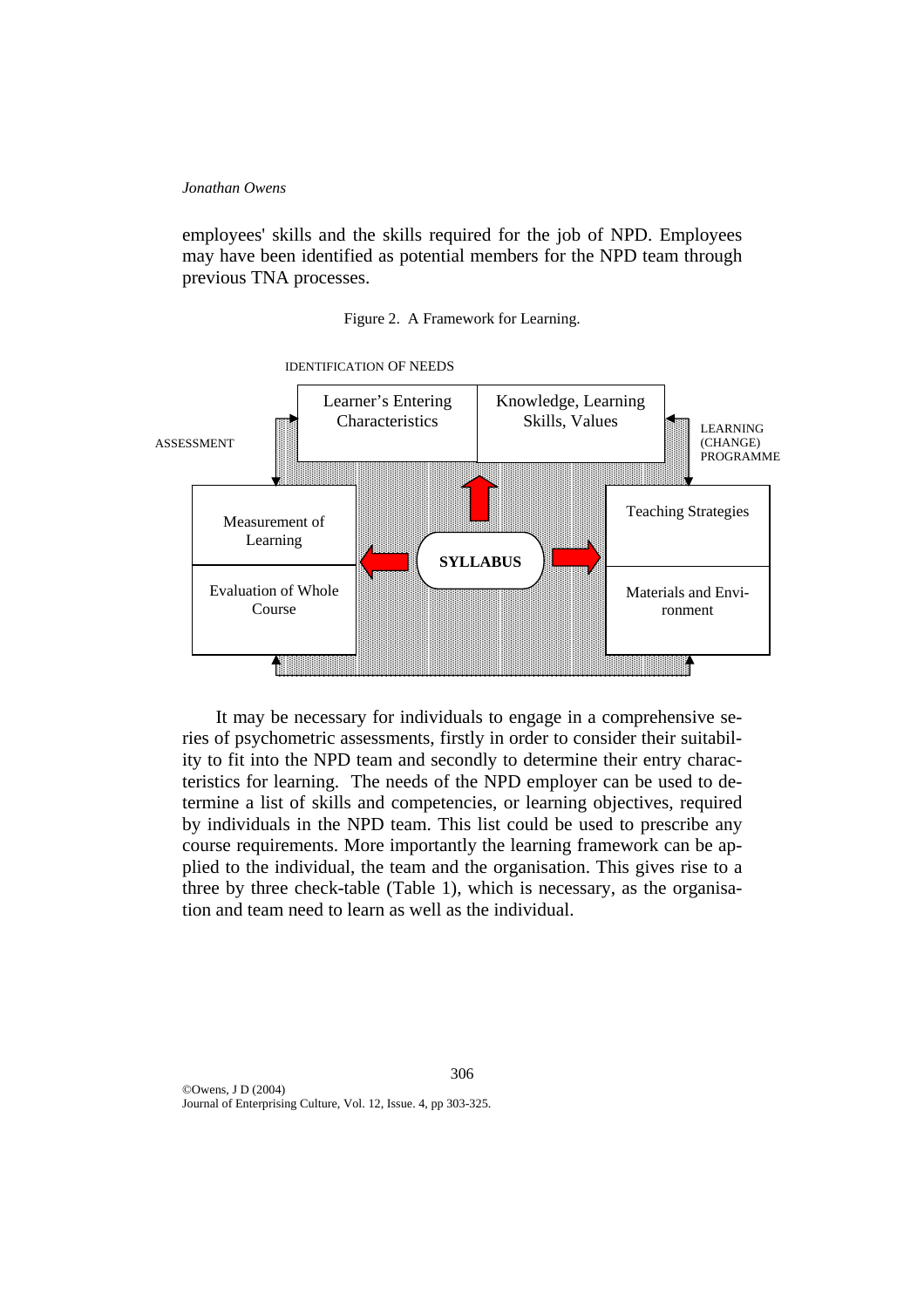employees' skills and the skills required for the job of NPD. Employees may have been identified as potential members for the NPD team through previous TNA processes.





It may be necessary for individuals to engage in a comprehensive series of psychometric assessments, firstly in order to consider their suitability to fit into the NPD team and secondly to determine their entry characteristics for learning. The needs of the NPD employer can be used to determine a list of skills and competencies, or learning objectives, required by individuals in the NPD team. This list could be used to prescribe any course requirements. More importantly the learning framework can be applied to the individual, the team and the organisation. This gives rise to a three by three check-table (Table 1), which is necessary, as the organisation and team need to learn as well as the individual.

©Owens, J D (2004) Journal of Enterprising Culture, Vol. 12, Issue. 4, pp 303-325.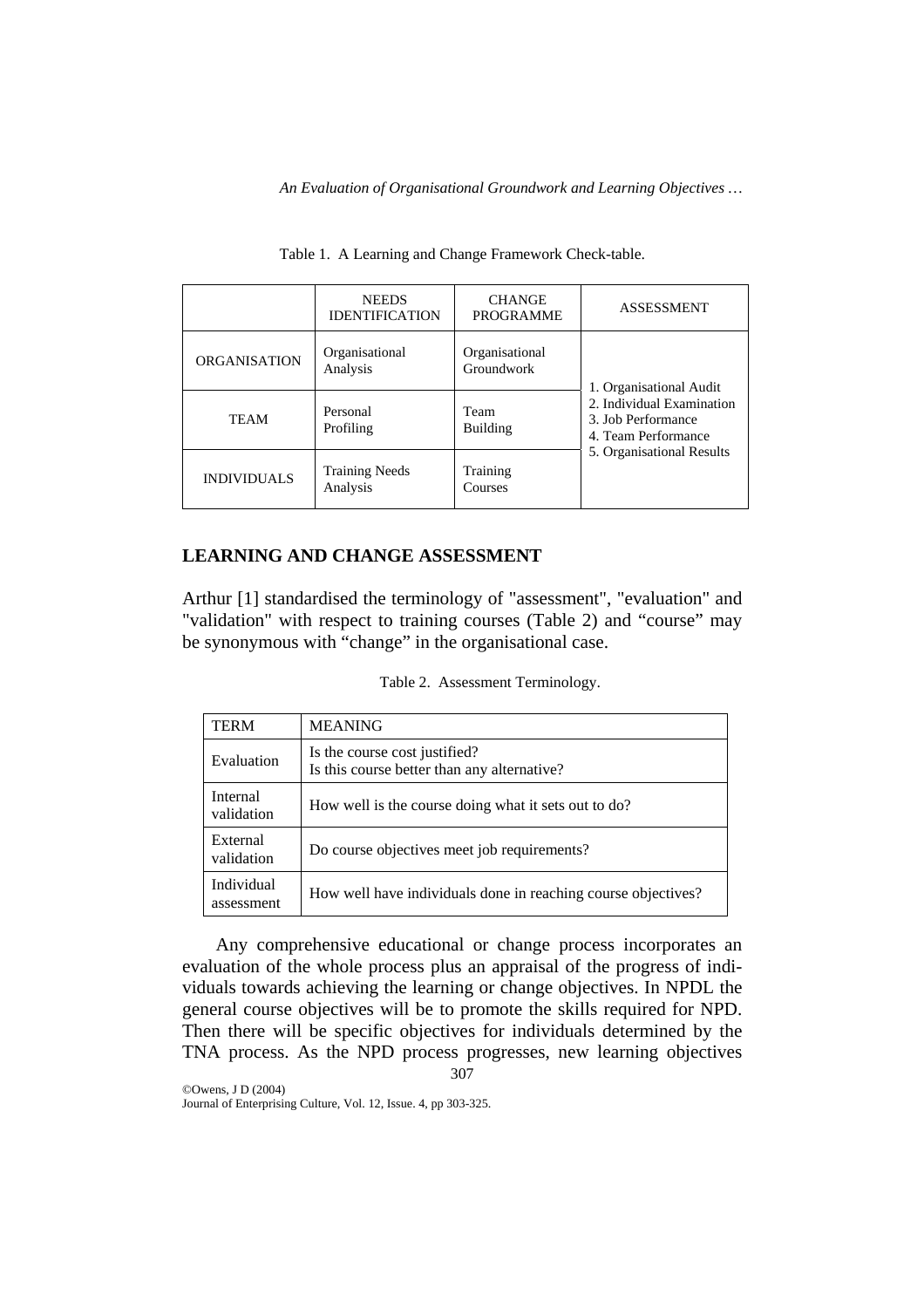|                     | <b>NEEDS</b><br><b>IDENTIFICATION</b> | <b>CHANGE</b><br><b>PROGRAMME</b>   | <b>ASSESSMENT</b>                                                      |
|---------------------|---------------------------------------|-------------------------------------|------------------------------------------------------------------------|
| <b>ORGANISATION</b> | Organisational<br>Analysis            | Organisational<br><b>Groundwork</b> | 1. Organisational Audit                                                |
| <b>TEAM</b>         | Personal<br>Profiling                 | Team<br><b>Building</b>             | 2. Individual Examination<br>3. Job Performance<br>4. Team Performance |
| <b>INDIVIDUALS</b>  | <b>Training Needs</b><br>Analysis     | Training<br>Courses                 | 5. Organisational Results                                              |

Table 1. A Learning and Change Framework Check-table.

## **LEARNING AND CHANGE ASSESSMENT**

Arthur [1] standardised the terminology of "assessment", "evaluation" and "validation" with respect to training courses (Table 2) and "course" may be synonymous with "change" in the organisational case.

| Table 2. Assessment Terminology. |
|----------------------------------|
|                                  |

| <b>TERM</b>              | <b>MEANING</b>                                                               |
|--------------------------|------------------------------------------------------------------------------|
| Evaluation               | Is the course cost justified?<br>Is this course better than any alternative? |
| Internal<br>validation   | How well is the course doing what it sets out to do?                         |
| External<br>validation   | Do course objectives meet job requirements?                                  |
| Individual<br>assessment | How well have individuals done in reaching course objectives?                |

Any comprehensive educational or change process incorporates an evaluation of the whole process plus an appraisal of the progress of individuals towards achieving the learning or change objectives. In NPDL the general course objectives will be to promote the skills required for NPD. Then there will be specific objectives for individuals determined by the TNA process. As the NPD process progresses, new learning objectives

307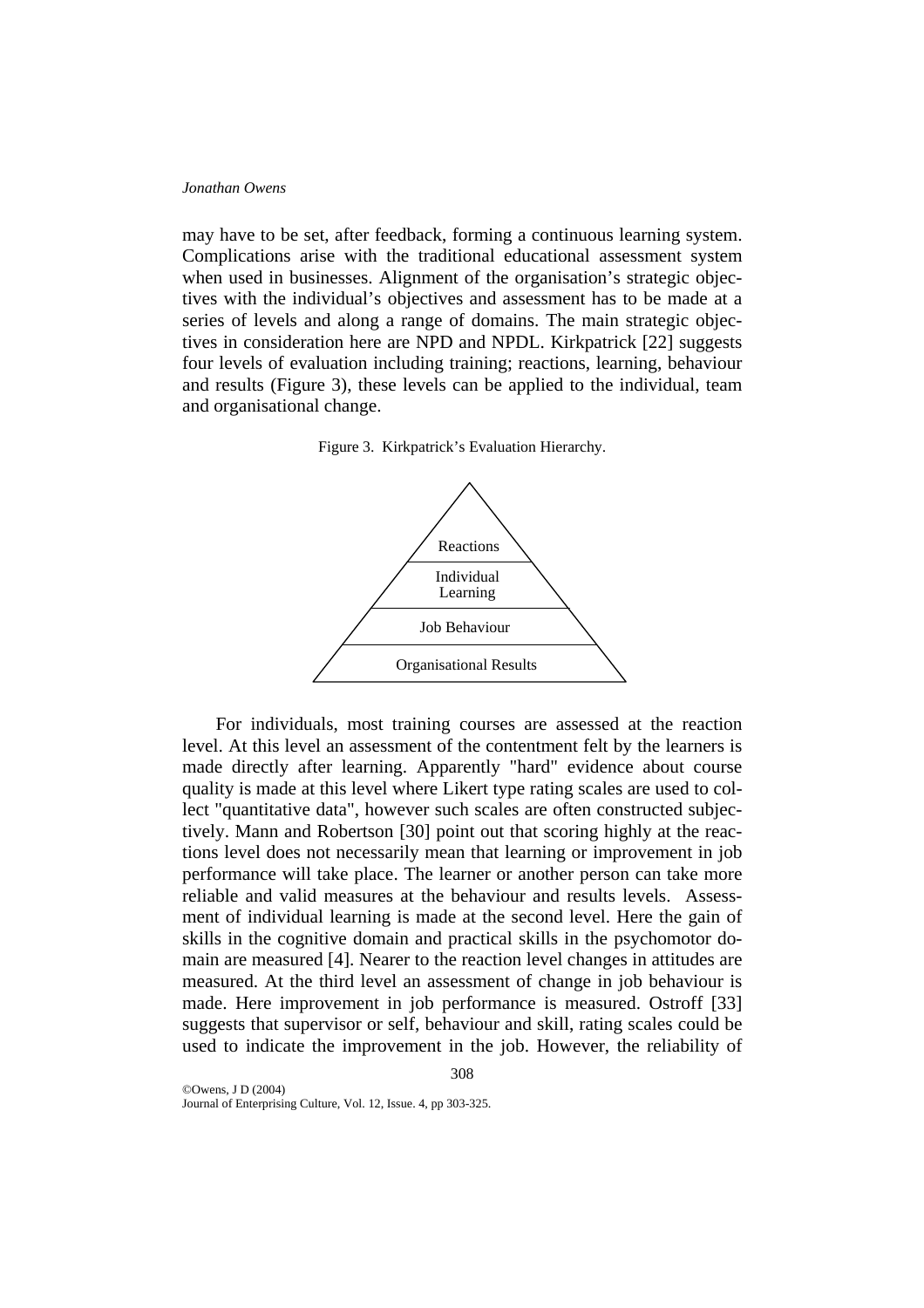may have to be set, after feedback, forming a continuous learning system. Complications arise with the traditional educational assessment system when used in businesses. Alignment of the organisation's strategic objectives with the individual's objectives and assessment has to be made at a series of levels and along a range of domains. The main strategic objectives in consideration here are NPD and NPDL. Kirkpatrick [22] suggests four levels of evaluation including training; reactions, learning, behaviour and results (Figure 3), these levels can be applied to the individual, team and organisational change.

Figure 3. Kirkpatrick's Evaluation Hierarchy.



For individuals, most training courses are assessed at the reaction level. At this level an assessment of the contentment felt by the learners is made directly after learning. Apparently "hard" evidence about course quality is made at this level where Likert type rating scales are used to collect "quantitative data", however such scales are often constructed subjectively. Mann and Robertson [30] point out that scoring highly at the reactions level does not necessarily mean that learning or improvement in job performance will take place. The learner or another person can take more reliable and valid measures at the behaviour and results levels. Assessment of individual learning is made at the second level. Here the gain of skills in the cognitive domain and practical skills in the psychomotor domain are measured [4]. Nearer to the reaction level changes in attitudes are measured. At the third level an assessment of change in job behaviour is made. Here improvement in job performance is measured. Ostroff [33] suggests that supervisor or self, behaviour and skill, rating scales could be used to indicate the improvement in the job. However, the reliability of

©Owens, J D (2004) Journal of Enterprising Culture, Vol. 12, Issue. 4, pp 303-325.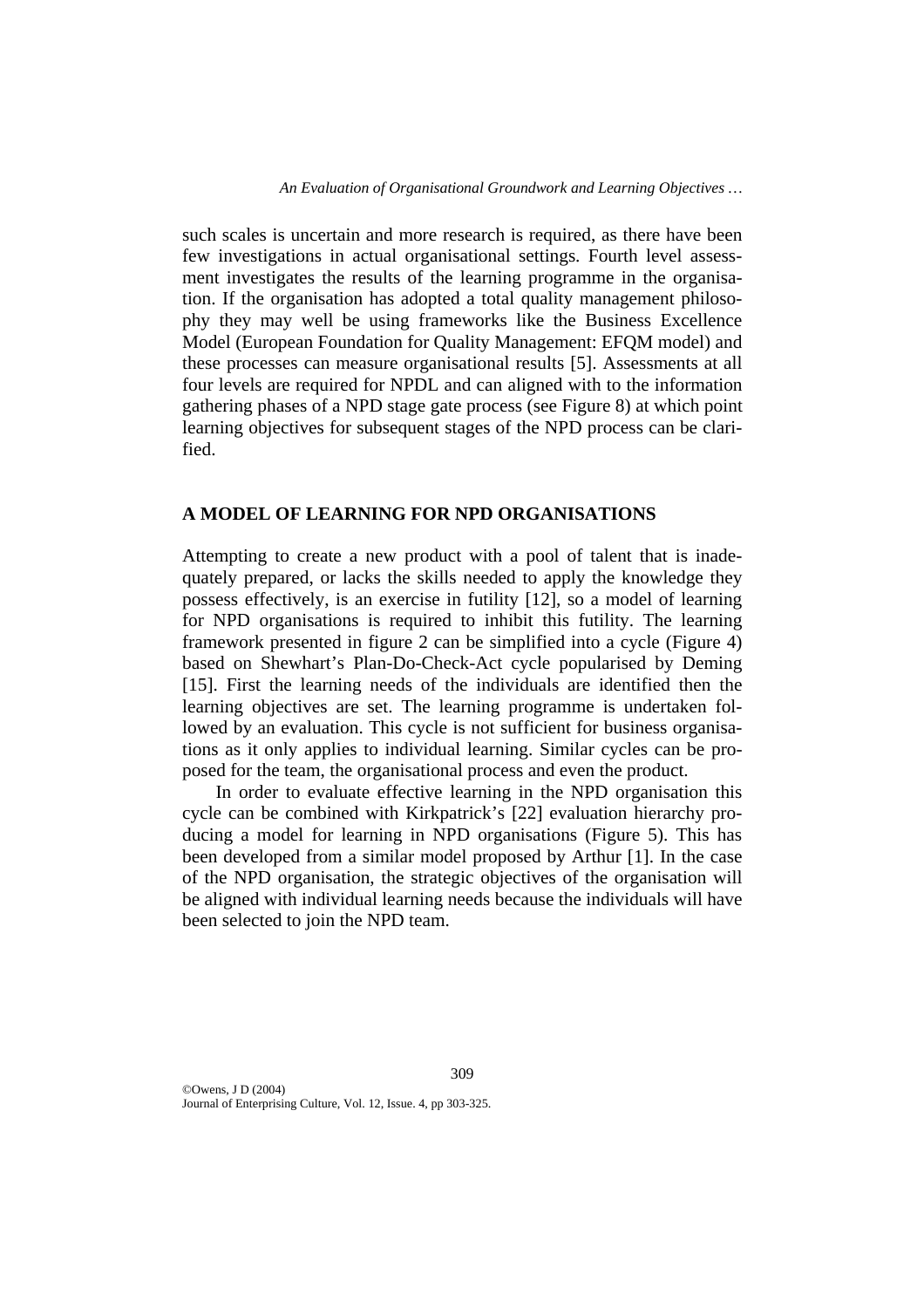such scales is uncertain and more research is required, as there have been few investigations in actual organisational settings. Fourth level assessment investigates the results of the learning programme in the organisation. If the organisation has adopted a total quality management philosophy they may well be using frameworks like the Business Excellence Model (European Foundation for Quality Management: EFQM model) and these processes can measure organisational results [5]. Assessments at all four levels are required for NPDL and can aligned with to the information gathering phases of a NPD stage gate process (see Figure 8) at which point learning objectives for subsequent stages of the NPD process can be clarified.

## **A MODEL OF LEARNING FOR NPD ORGANISATIONS**

Attempting to create a new product with a pool of talent that is inadequately prepared, or lacks the skills needed to apply the knowledge they possess effectively, is an exercise in futility [12], so a model of learning for NPD organisations is required to inhibit this futility. The learning framework presented in figure 2 can be simplified into a cycle (Figure 4) based on Shewhart's Plan-Do-Check-Act cycle popularised by Deming [15]. First the learning needs of the individuals are identified then the learning objectives are set. The learning programme is undertaken followed by an evaluation. This cycle is not sufficient for business organisations as it only applies to individual learning. Similar cycles can be proposed for the team, the organisational process and even the product.

In order to evaluate effective learning in the NPD organisation this cycle can be combined with Kirkpatrick's [22] evaluation hierarchy producing a model for learning in NPD organisations (Figure 5). This has been developed from a similar model proposed by Arthur [1]. In the case of the NPD organisation, the strategic objectives of the organisation will be aligned with individual learning needs because the individuals will have been selected to join the NPD team.

©Owens, J D (2004)

Journal of Enterprising Culture, Vol. 12, Issue. 4, pp 303-325.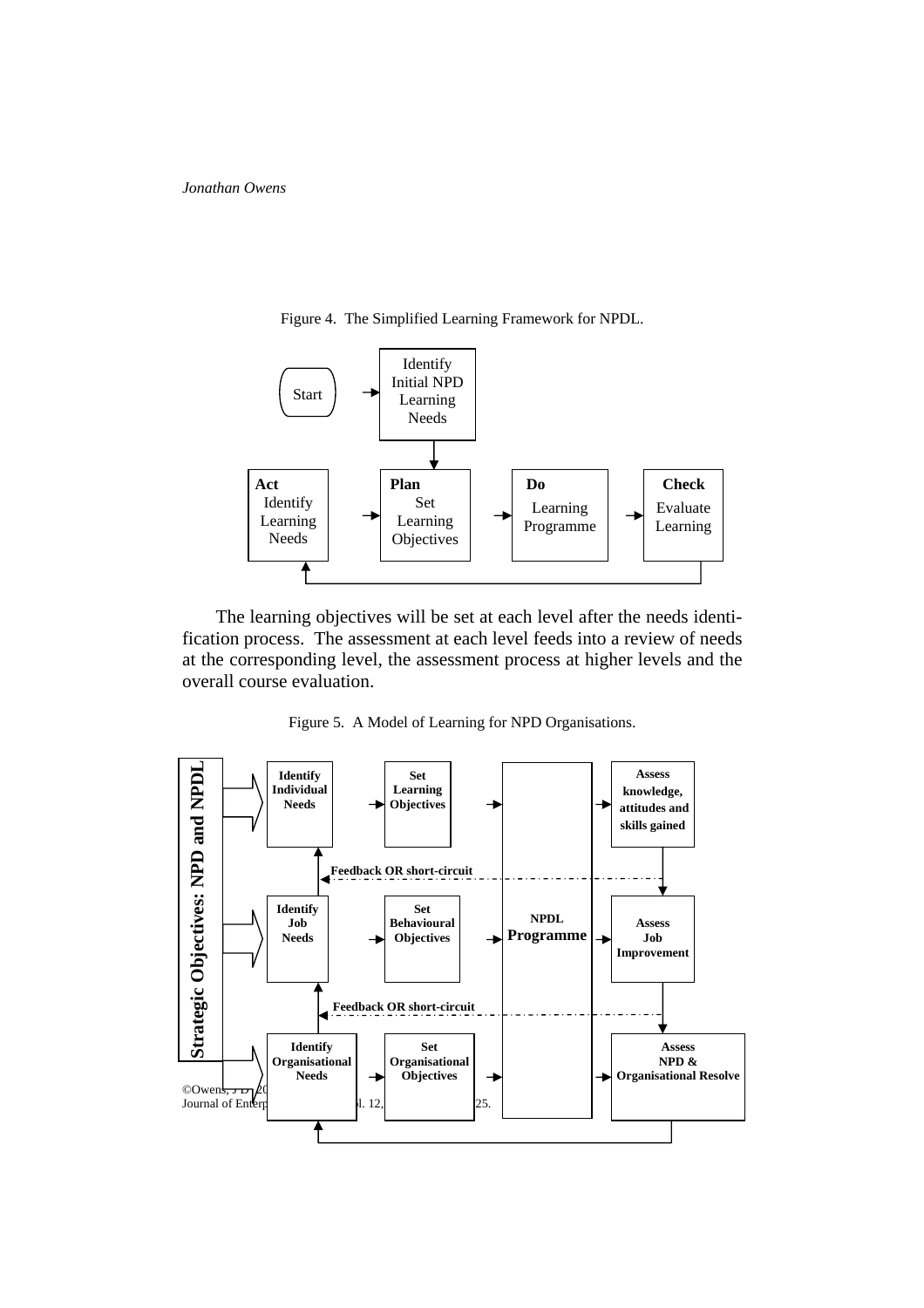Figure 4. The Simplified Learning Framework for NPDL.



The learning objectives will be set at each level after the needs identification process. The assessment at each level feeds into a review of needs at the corresponding level, the assessment process at higher levels and the overall course evaluation.

Figure 5. A Model of Learning for NPD Organisations.

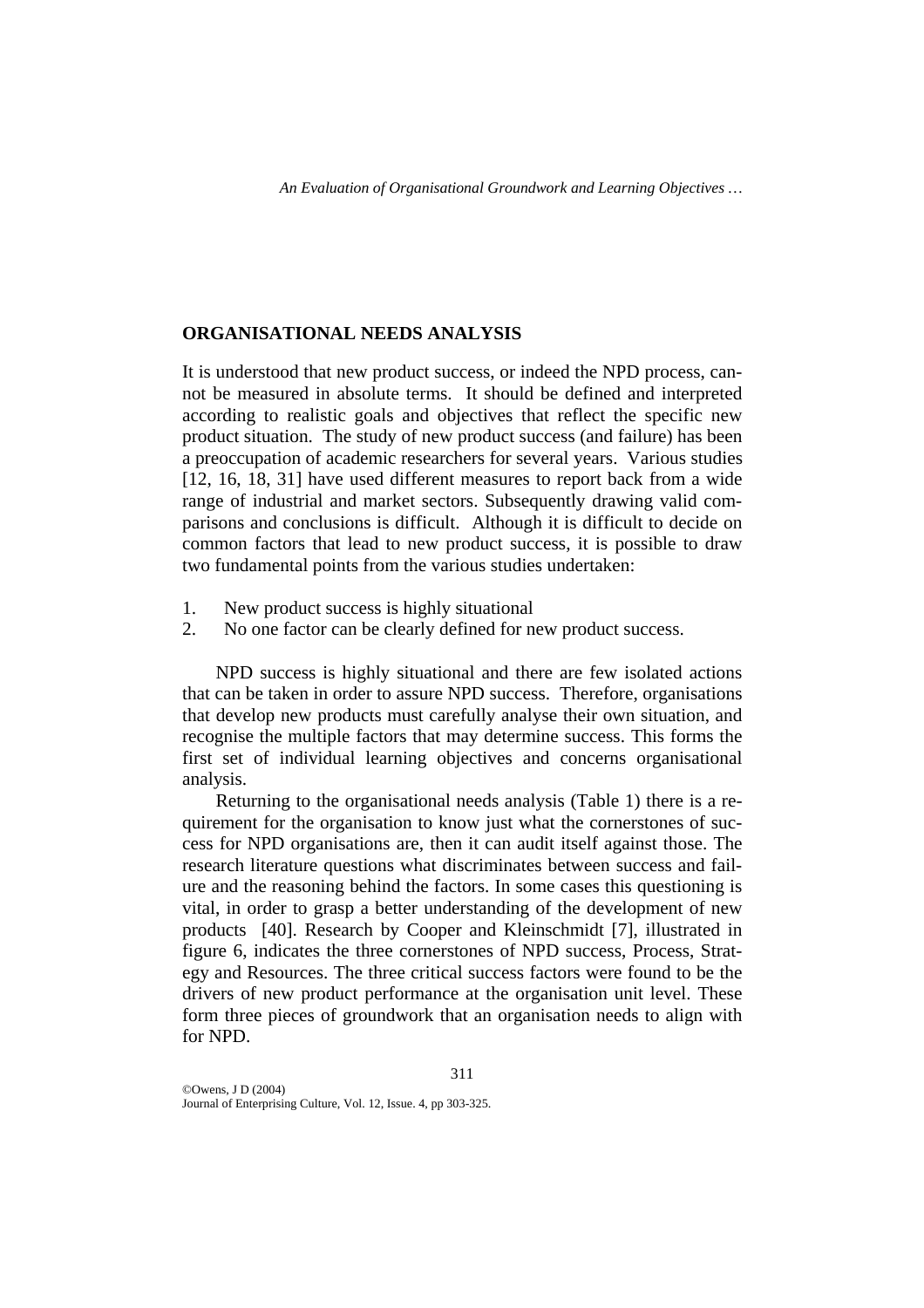## **ORGANISATIONAL NEEDS ANALYSIS**

It is understood that new product success, or indeed the NPD process, cannot be measured in absolute terms. It should be defined and interpreted according to realistic goals and objectives that reflect the specific new product situation. The study of new product success (and failure) has been a preoccupation of academic researchers for several years. Various studies [12, 16, 18, 31] have used different measures to report back from a wide range of industrial and market sectors. Subsequently drawing valid comparisons and conclusions is difficult. Although it is difficult to decide on common factors that lead to new product success, it is possible to draw two fundamental points from the various studies undertaken:

- 1. New product success is highly situational
- 2. No one factor can be clearly defined for new product success.

NPD success is highly situational and there are few isolated actions that can be taken in order to assure NPD success. Therefore, organisations that develop new products must carefully analyse their own situation, and recognise the multiple factors that may determine success. This forms the first set of individual learning objectives and concerns organisational analysis.

Returning to the organisational needs analysis (Table 1) there is a requirement for the organisation to know just what the cornerstones of success for NPD organisations are, then it can audit itself against those. The research literature questions what discriminates between success and failure and the reasoning behind the factors. In some cases this questioning is vital, in order to grasp a better understanding of the development of new products [40]. Research by Cooper and Kleinschmidt [7], illustrated in figure 6, indicates the three cornerstones of NPD success, Process, Strategy and Resources. The three critical success factors were found to be the drivers of new product performance at the organisation unit level. These form three pieces of groundwork that an organisation needs to align with for NPD.

<sup>©</sup>Owens, J D (2004) Journal of Enterprising Culture, Vol. 12, Issue. 4, pp 303-325.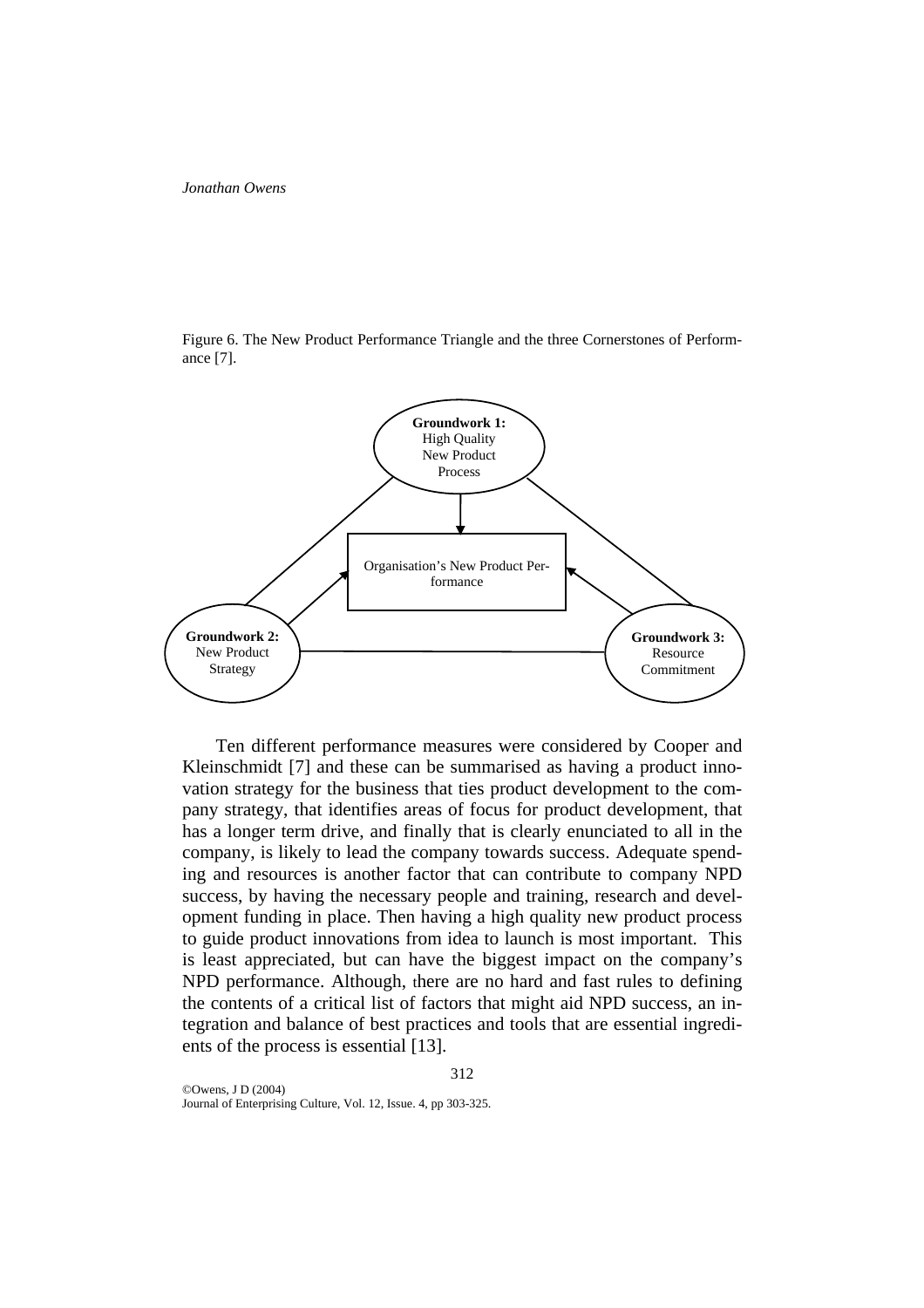Figure 6. The New Product Performance Triangle and the three Cornerstones of Performance [7].



Ten different performance measures were considered by Cooper and Kleinschmidt [7] and these can be summarised as having a product innovation strategy for the business that ties product development to the company strategy, that identifies areas of focus for product development, that has a longer term drive, and finally that is clearly enunciated to all in the company, is likely to lead the company towards success. Adequate spending and resources is another factor that can contribute to company NPD success, by having the necessary people and training, research and development funding in place. Then having a high quality new product process to guide product innovations from idea to launch is most important. This is least appreciated, but can have the biggest impact on the company's NPD performance. Although, there are no hard and fast rules to defining the contents of a critical list of factors that might aid NPD success, an integration and balance of best practices and tools that are essential ingredients of the process is essential [13].

312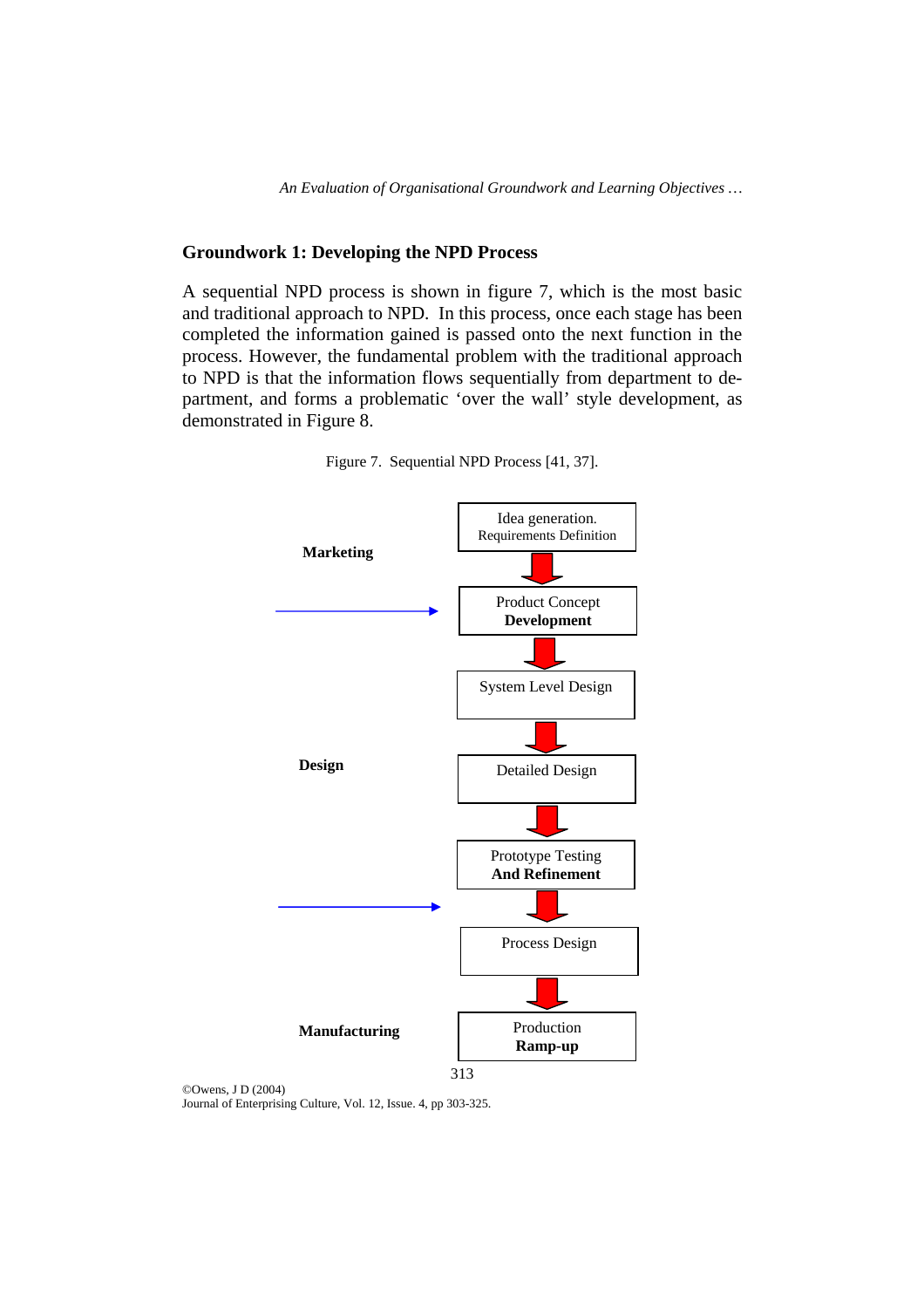## **Groundwork 1: Developing the NPD Process**

A sequential NPD process is shown in figure 7, which is the most basic and traditional approach to NPD. In this process, once each stage has been completed the information gained is passed onto the next function in the process. However, the fundamental problem with the traditional approach to NPD is that the information flows sequentially from department to department, and forms a problematic 'over the wall' style development, as demonstrated in Figure 8.



Figure 7. Sequential NPD Process [41, 37].

©Owens, J D (2004) Journal of Enterprising Culture, Vol. 12, Issue. 4, pp 303-325.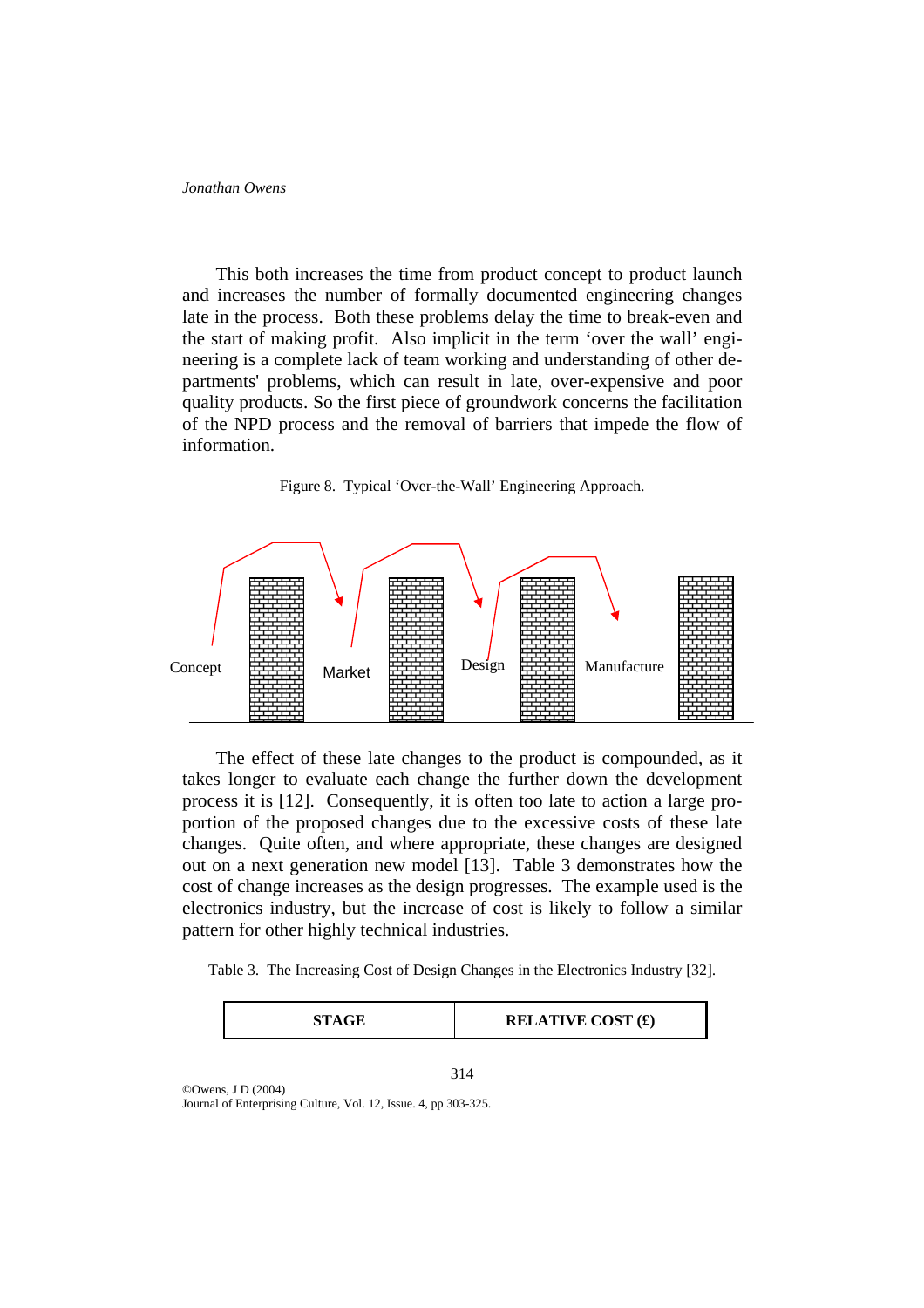This both increases the time from product concept to product launch and increases the number of formally documented engineering changes late in the process. Both these problems delay the time to break-even and the start of making profit. Also implicit in the term 'over the wall' engineering is a complete lack of team working and understanding of other departments' problems, which can result in late, over-expensive and poor quality products. So the first piece of groundwork concerns the facilitation of the NPD process and the removal of barriers that impede the flow of information.





The effect of these late changes to the product is compounded, as it takes longer to evaluate each change the further down the development process it is [12]. Consequently, it is often too late to action a large proportion of the proposed changes due to the excessive costs of these late changes. Quite often, and where appropriate, these changes are designed out on a next generation new model [13]. Table 3 demonstrates how the cost of change increases as the design progresses. The example used is the electronics industry, but the increase of cost is likely to follow a similar pattern for other highly technical industries.

Table 3. The Increasing Cost of Design Changes in the Electronics Industry [32].

| <b>RELATIVE COST (£)</b><br>«TAGE |
|-----------------------------------|
|-----------------------------------|

314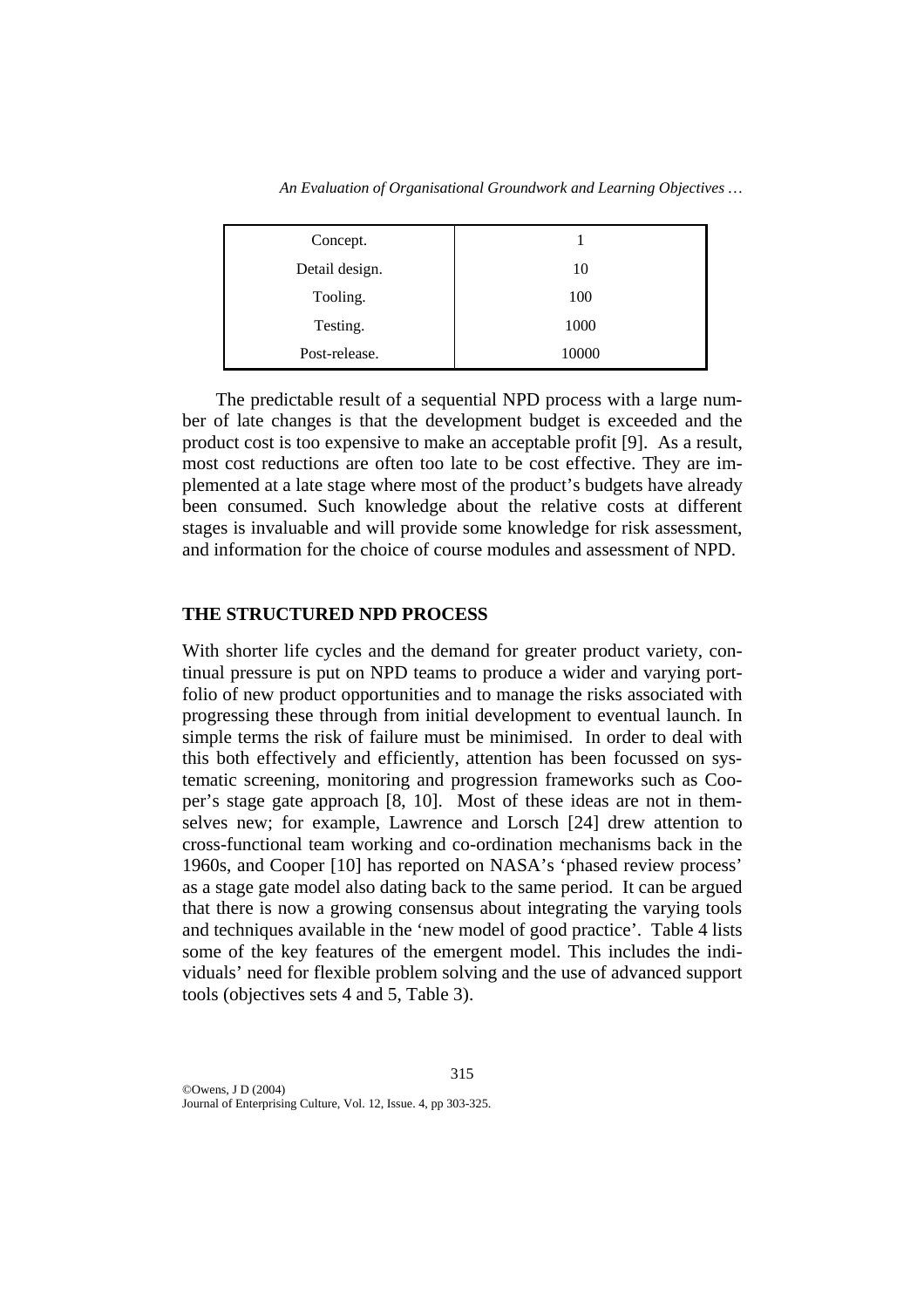| Concept.       |       |
|----------------|-------|
| Detail design. | 10    |
| Tooling.       | 100   |
| Testing.       | 1000  |
| Post-release.  | 10000 |

*An Evaluation of Organisational Groundwork and Learning Objectives …* 

The predictable result of a sequential NPD process with a large number of late changes is that the development budget is exceeded and the product cost is too expensive to make an acceptable profit [9]. As a result, most cost reductions are often too late to be cost effective. They are implemented at a late stage where most of the product's budgets have already been consumed. Such knowledge about the relative costs at different stages is invaluable and will provide some knowledge for risk assessment, and information for the choice of course modules and assessment of NPD.

## **THE STRUCTURED NPD PROCESS**

With shorter life cycles and the demand for greater product variety, continual pressure is put on NPD teams to produce a wider and varying portfolio of new product opportunities and to manage the risks associated with progressing these through from initial development to eventual launch. In simple terms the risk of failure must be minimised. In order to deal with this both effectively and efficiently, attention has been focussed on systematic screening, monitoring and progression frameworks such as Cooper's stage gate approach [8, 10]. Most of these ideas are not in themselves new; for example, Lawrence and Lorsch [24] drew attention to cross-functional team working and co-ordination mechanisms back in the 1960s, and Cooper [10] has reported on NASA's 'phased review process' as a stage gate model also dating back to the same period. It can be argued that there is now a growing consensus about integrating the varying tools and techniques available in the 'new model of good practice'. Table 4 lists some of the key features of the emergent model. This includes the individuals' need for flexible problem solving and the use of advanced support tools (objectives sets 4 and 5, Table 3).

©Owens, J D (2004)

Journal of Enterprising Culture, Vol. 12, Issue. 4, pp 303-325.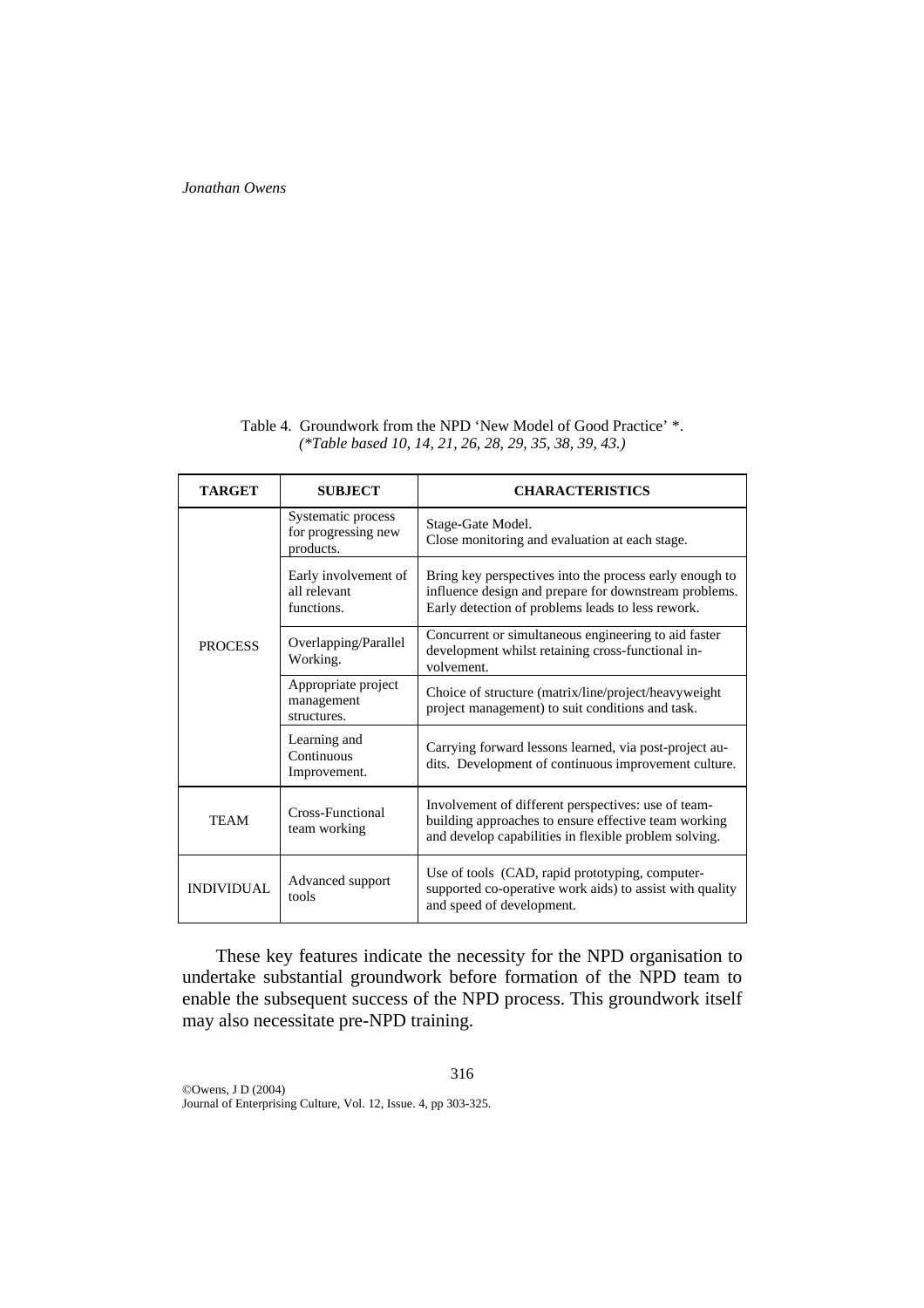| <b>TARGET</b>     | <b>SUBJECT</b>                                         | <b>CHARACTERISTICS</b>                                                                                                                                                |  |
|-------------------|--------------------------------------------------------|-----------------------------------------------------------------------------------------------------------------------------------------------------------------------|--|
|                   | Systematic process<br>for progressing new<br>products. | Stage-Gate Model.<br>Close monitoring and evaluation at each stage.                                                                                                   |  |
| <b>PROCESS</b>    | Early involvement of<br>all relevant<br>functions.     | Bring key perspectives into the process early enough to<br>influence design and prepare for downstream problems.<br>Early detection of problems leads to less rework. |  |
|                   | Overlapping/Parallel<br>Working.                       | Concurrent or simultaneous engineering to aid faster<br>development whilst retaining cross-functional in-<br>volvement.                                               |  |
|                   | Appropriate project<br>management<br>structures.       | Choice of structure (matrix/line/project/heavyweight)<br>project management) to suit conditions and task.                                                             |  |
|                   | Learning and<br>Continuous<br>Improvement.             | Carrying forward lessons learned, via post-project au-<br>dits. Development of continuous improvement culture.                                                        |  |
| <b>TEAM</b>       | Cross-Functional<br>team working                       | Involvement of different perspectives: use of team-<br>building approaches to ensure effective team working<br>and develop capabilities in flexible problem solving.  |  |
| <b>INDIVIDUAL</b> | Advanced support<br>tools                              | Use of tools (CAD, rapid prototyping, computer-<br>supported co-operative work aids) to assist with quality<br>and speed of development.                              |  |

Table 4. Groundwork from the NPD 'New Model of Good Practice' \*. *(\*Table based 10, 14, 21, 26, 28, 29, 35, 38, 39, 43.)* 

These key features indicate the necessity for the NPD organisation to undertake substantial groundwork before formation of the NPD team to enable the subsequent success of the NPD process. This groundwork itself may also necessitate pre-NPD training.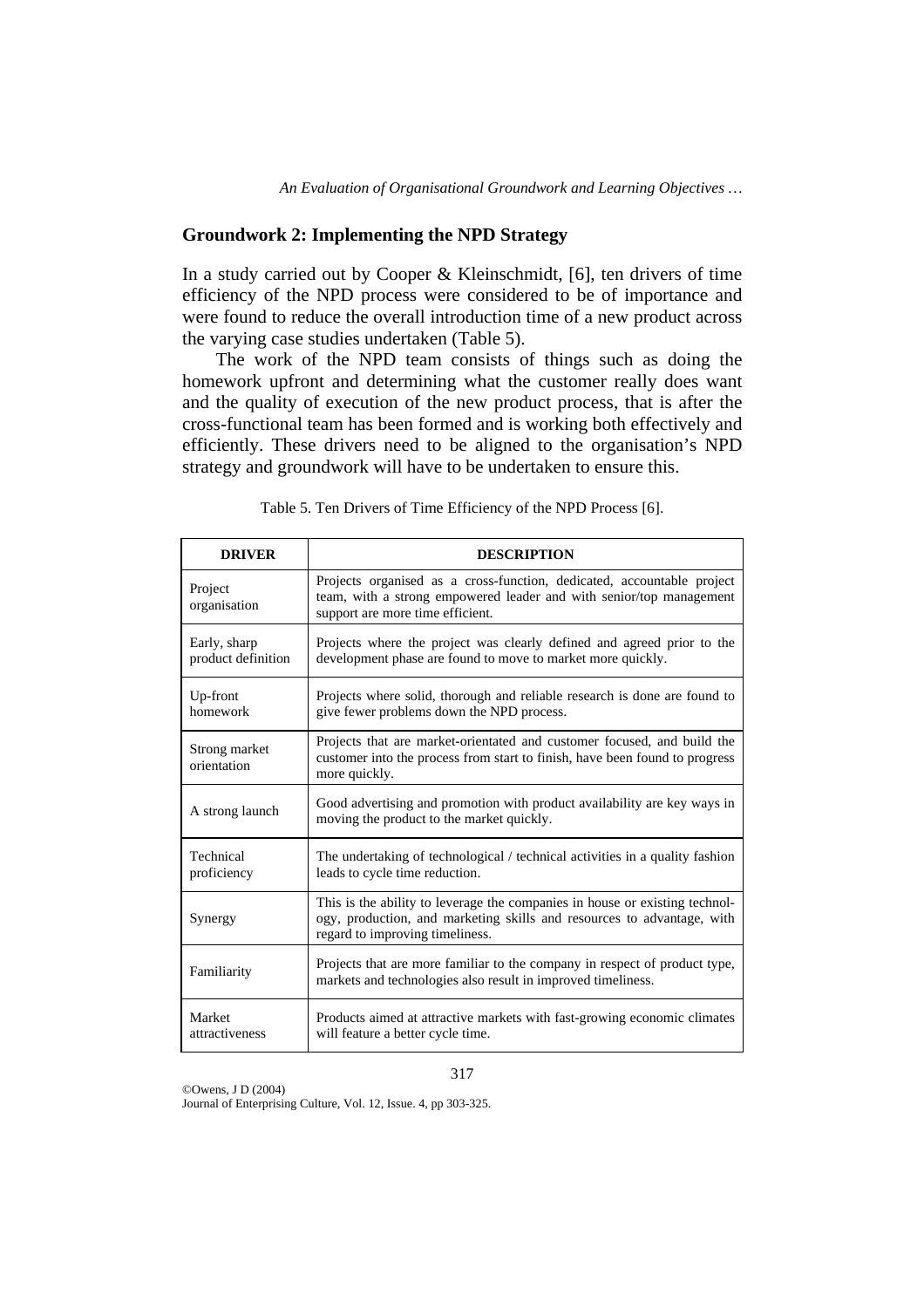## **Groundwork 2: Implementing the NPD Strategy**

In a study carried out by Cooper & Kleinschmidt, [6], ten drivers of time efficiency of the NPD process were considered to be of importance and were found to reduce the overall introduction time of a new product across the varying case studies undertaken (Table 5).

The work of the NPD team consists of things such as doing the homework upfront and determining what the customer really does want and the quality of execution of the new product process, that is after the cross-functional team has been formed and is working both effectively and efficiently. These drivers need to be aligned to the organisation's NPD strategy and groundwork will have to be undertaken to ensure this.

| <b>DRIVER</b>                      | <b>DESCRIPTION</b>                                                                                                                                                                       |  |
|------------------------------------|------------------------------------------------------------------------------------------------------------------------------------------------------------------------------------------|--|
| Project<br>organisation            | Projects organised as a cross-function, dedicated, accountable project<br>team, with a strong empowered leader and with senior/top management<br>support are more time efficient.        |  |
| Early, sharp<br>product definition | Projects where the project was clearly defined and agreed prior to the<br>development phase are found to move to market more quickly.                                                    |  |
| Up-front<br>homework               | Projects where solid, thorough and reliable research is done are found to<br>give fewer problems down the NPD process.                                                                   |  |
| Strong market<br>orientation       | Projects that are market-orientated and customer focused, and build the<br>customer into the process from start to finish, have been found to progress<br>more quickly.                  |  |
| A strong launch                    | Good advertising and promotion with product availability are key ways in<br>moving the product to the market quickly.                                                                    |  |
| Technical<br>proficiency           | The undertaking of technological / technical activities in a quality fashion<br>leads to cycle time reduction.                                                                           |  |
| Synergy                            | This is the ability to leverage the companies in house or existing technol-<br>ogy, production, and marketing skills and resources to advantage, with<br>regard to improving timeliness. |  |
| Familiarity                        | Projects that are more familiar to the company in respect of product type,<br>markets and technologies also result in improved timeliness.                                               |  |
| Market<br>attractiveness           | Products aimed at attractive markets with fast-growing economic climates<br>will feature a better cycle time.                                                                            |  |

Table 5. Ten Drivers of Time Efficiency of the NPD Process [6].

317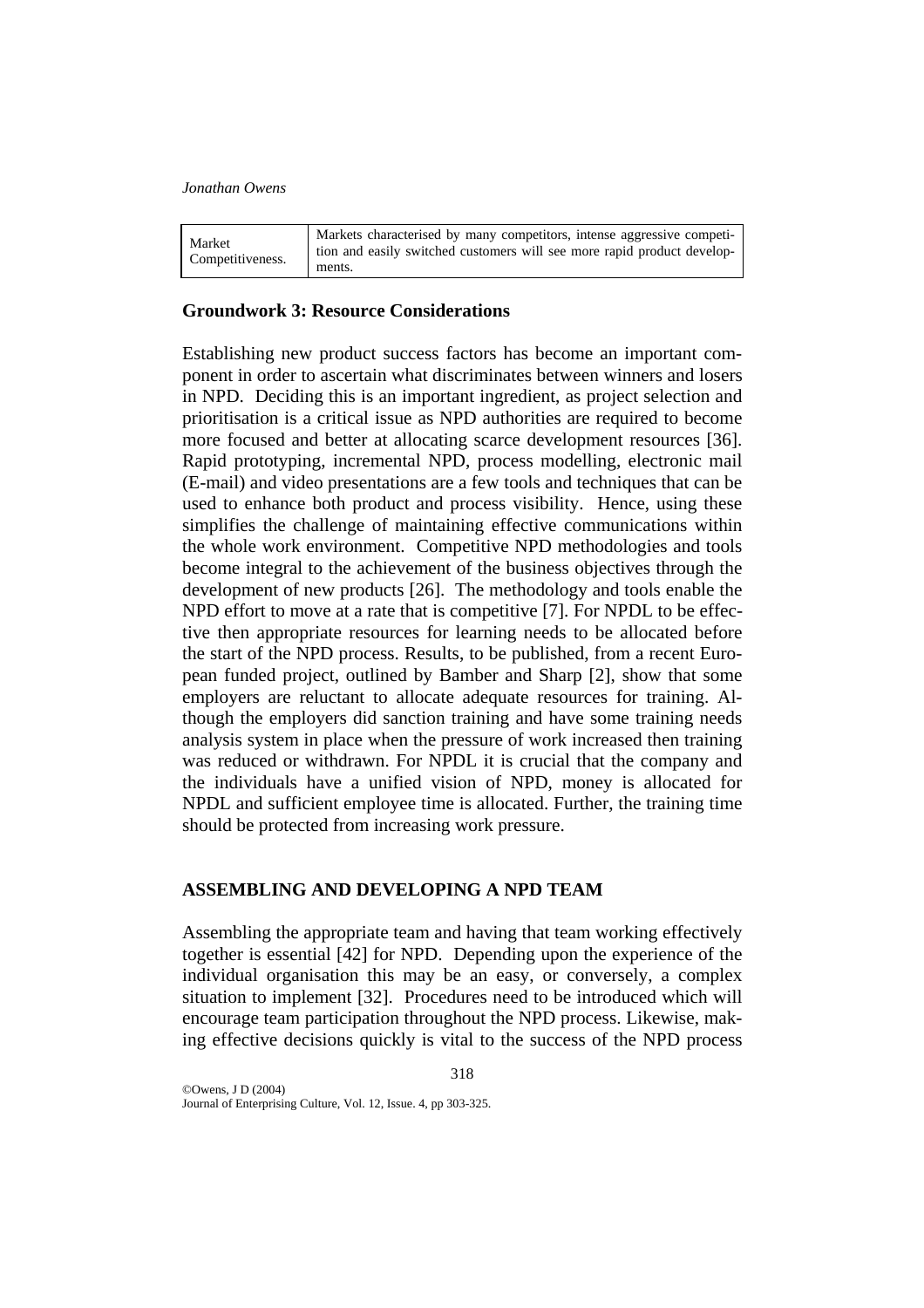| Market<br>Competitiveness. | Markets characterised by many competitors, intense aggressive competi-  |
|----------------------------|-------------------------------------------------------------------------|
|                            | tion and easily switched customers will see more rapid product develop- |
|                            | ments.                                                                  |

## **Groundwork 3: Resource Considerations**

Establishing new product success factors has become an important component in order to ascertain what discriminates between winners and losers in NPD. Deciding this is an important ingredient, as project selection and prioritisation is a critical issue as NPD authorities are required to become more focused and better at allocating scarce development resources [36]. Rapid prototyping, incremental NPD, process modelling, electronic mail (E-mail) and video presentations are a few tools and techniques that can be used to enhance both product and process visibility. Hence, using these simplifies the challenge of maintaining effective communications within the whole work environment. Competitive NPD methodologies and tools become integral to the achievement of the business objectives through the development of new products [26]. The methodology and tools enable the NPD effort to move at a rate that is competitive [7]. For NPDL to be effective then appropriate resources for learning needs to be allocated before the start of the NPD process. Results, to be published, from a recent European funded project, outlined by Bamber and Sharp [2], show that some employers are reluctant to allocate adequate resources for training. Although the employers did sanction training and have some training needs analysis system in place when the pressure of work increased then training was reduced or withdrawn. For NPDL it is crucial that the company and the individuals have a unified vision of NPD, money is allocated for NPDL and sufficient employee time is allocated. Further, the training time should be protected from increasing work pressure.

#### **ASSEMBLING AND DEVELOPING A NPD TEAM**

Assembling the appropriate team and having that team working effectively together is essential [42] for NPD. Depending upon the experience of the individual organisation this may be an easy, or conversely, a complex situation to implement [32]. Procedures need to be introduced which will encourage team participation throughout the NPD process. Likewise, making effective decisions quickly is vital to the success of the NPD process

318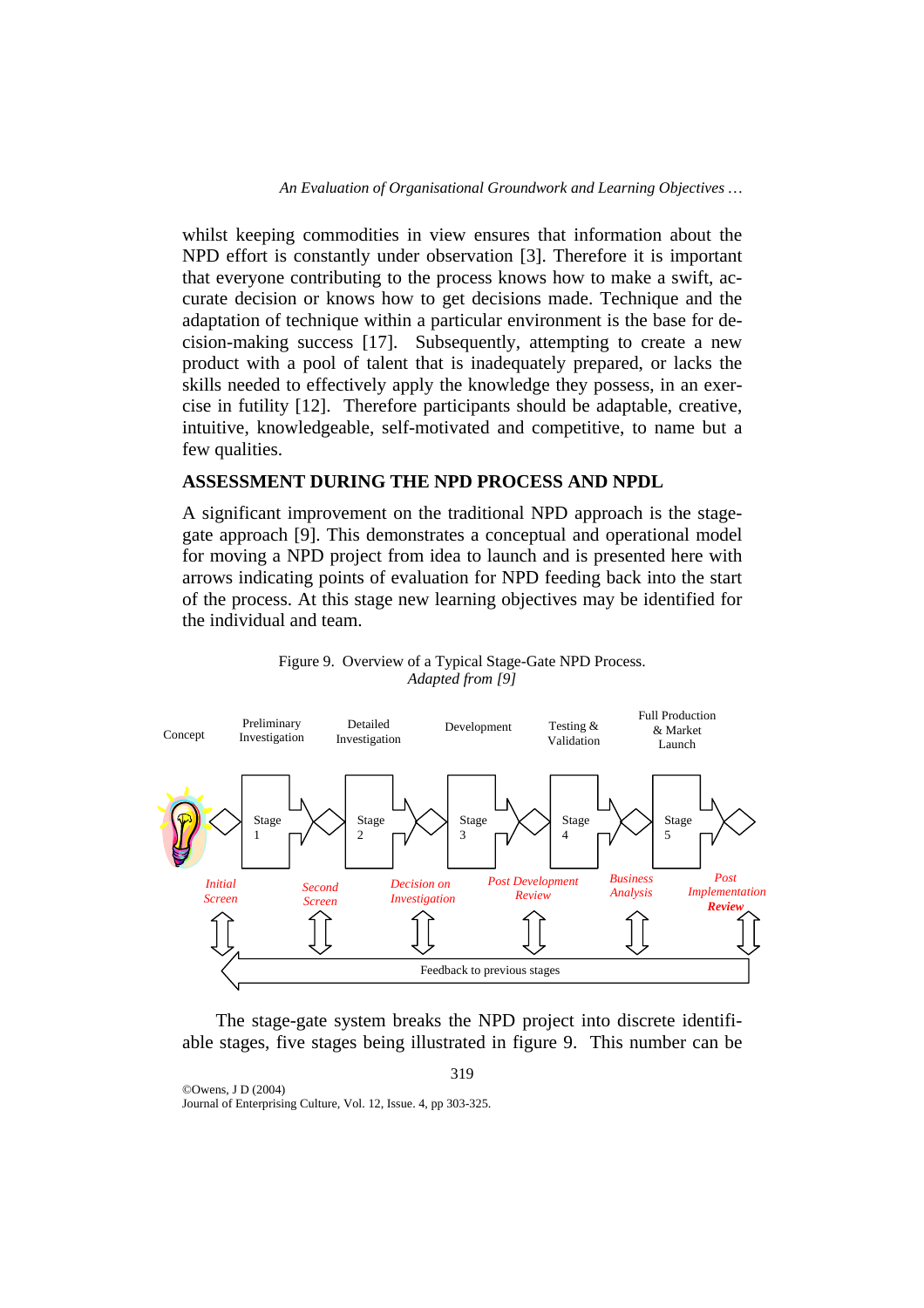whilst keeping commodities in view ensures that information about the NPD effort is constantly under observation [3]. Therefore it is important that everyone contributing to the process knows how to make a swift, accurate decision or knows how to get decisions made. Technique and the adaptation of technique within a particular environment is the base for decision-making success [17]. Subsequently, attempting to create a new product with a pool of talent that is inadequately prepared, or lacks the skills needed to effectively apply the knowledge they possess, in an exercise in futility [12]. Therefore participants should be adaptable, creative, intuitive, knowledgeable, self-motivated and competitive, to name but a few qualities.

## **ASSESSMENT DURING THE NPD PROCESS AND NPDL**

A significant improvement on the traditional NPD approach is the stagegate approach [9]. This demonstrates a conceptual and operational model for moving a NPD project from idea to launch and is presented here with arrows indicating points of evaluation for NPD feeding back into the start of the process. At this stage new learning objectives may be identified for the individual and team.



Figure 9. Overview of a Typical Stage-Gate NPD Process. *Adapted from [9]*

The stage-gate system breaks the NPD project into discrete identifiable stages, five stages being illustrated in figure 9. This number can be

©Owens, J D (2004) Journal of Enterprising Culture, Vol. 12, Issue. 4, pp 303-325.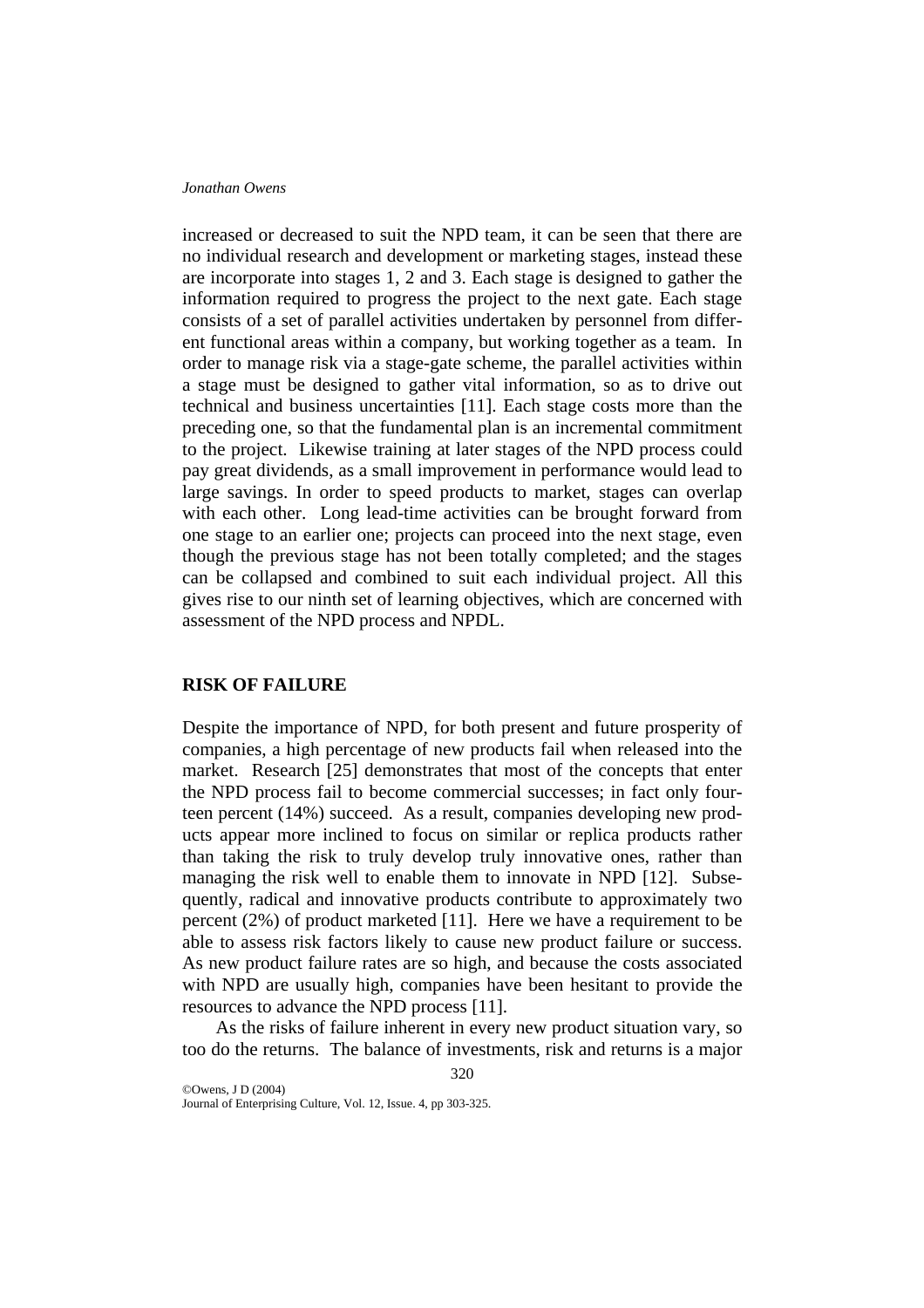increased or decreased to suit the NPD team, it can be seen that there are no individual research and development or marketing stages, instead these are incorporate into stages 1, 2 and 3. Each stage is designed to gather the information required to progress the project to the next gate. Each stage consists of a set of parallel activities undertaken by personnel from different functional areas within a company, but working together as a team. In order to manage risk via a stage-gate scheme, the parallel activities within a stage must be designed to gather vital information, so as to drive out technical and business uncertainties [11]. Each stage costs more than the preceding one, so that the fundamental plan is an incremental commitment to the project. Likewise training at later stages of the NPD process could pay great dividends, as a small improvement in performance would lead to large savings. In order to speed products to market, stages can overlap with each other. Long lead-time activities can be brought forward from one stage to an earlier one; projects can proceed into the next stage, even though the previous stage has not been totally completed; and the stages can be collapsed and combined to suit each individual project. All this gives rise to our ninth set of learning objectives, which are concerned with assessment of the NPD process and NPDL.

#### **RISK OF FAILURE**

Despite the importance of NPD, for both present and future prosperity of companies, a high percentage of new products fail when released into the market. Research [25] demonstrates that most of the concepts that enter the NPD process fail to become commercial successes; in fact only fourteen percent (14%) succeed. As a result, companies developing new products appear more inclined to focus on similar or replica products rather than taking the risk to truly develop truly innovative ones, rather than managing the risk well to enable them to innovate in NPD [12]. Subsequently, radical and innovative products contribute to approximately two percent (2%) of product marketed [11]. Here we have a requirement to be able to assess risk factors likely to cause new product failure or success. As new product failure rates are so high, and because the costs associated with NPD are usually high, companies have been hesitant to provide the resources to advance the NPD process [11].

As the risks of failure inherent in every new product situation vary, so too do the returns. The balance of investments, risk and returns is a major

©Owens, J D (2004) Journal of Enterprising Culture, Vol. 12, Issue. 4, pp 303-325.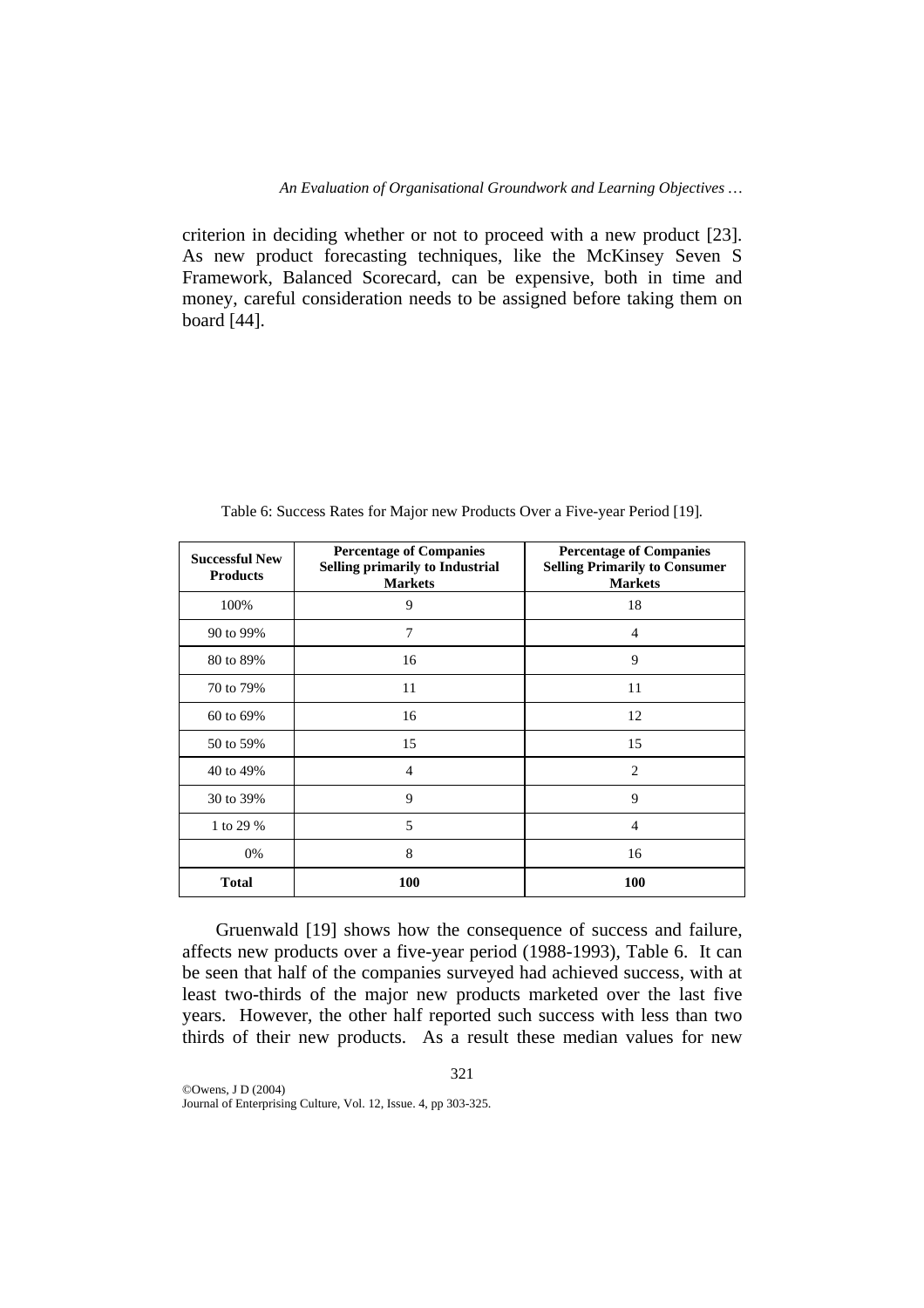criterion in deciding whether or not to proceed with a new product [23]. As new product forecasting techniques, like the McKinsey Seven S Framework, Balanced Scorecard, can be expensive, both in time and money, careful consideration needs to be assigned before taking them on board [44].

| <b>Successful New</b><br><b>Products</b> | <b>Percentage of Companies</b><br><b>Selling primarily to Industrial</b><br><b>Markets</b> | <b>Percentage of Companies</b><br><b>Selling Primarily to Consumer</b><br><b>Markets</b> |
|------------------------------------------|--------------------------------------------------------------------------------------------|------------------------------------------------------------------------------------------|
| 100%                                     | 9                                                                                          | 18                                                                                       |
| 90 to 99%                                | 7                                                                                          | $\overline{4}$                                                                           |
| 80 to 89%                                | 16                                                                                         | 9                                                                                        |
| 70 to 79%                                | 11                                                                                         | 11                                                                                       |
| 60 to 69%                                | 16                                                                                         | 12                                                                                       |
| 50 to 59%                                | 15                                                                                         | 15                                                                                       |
| 40 to 49%                                | $\overline{4}$                                                                             | $\overline{2}$                                                                           |
| 30 to 39%                                | 9                                                                                          | 9                                                                                        |
| 1 to 29 %                                | 5                                                                                          | $\overline{4}$                                                                           |
| 0%                                       | 8                                                                                          | 16                                                                                       |
| <b>Total</b>                             | 100                                                                                        | 100                                                                                      |

Table 6: Success Rates for Major new Products Over a Five-year Period [19]*.* 

Gruenwald [19] shows how the consequence of success and failure, affects new products over a five-year period (1988-1993), Table 6. It can be seen that half of the companies surveyed had achieved success, with at least two-thirds of the major new products marketed over the last five years. However, the other half reported such success with less than two thirds of their new products. As a result these median values for new

©Owens, J D (2004) Journal of Enterprising Culture, Vol. 12, Issue. 4, pp 303-325.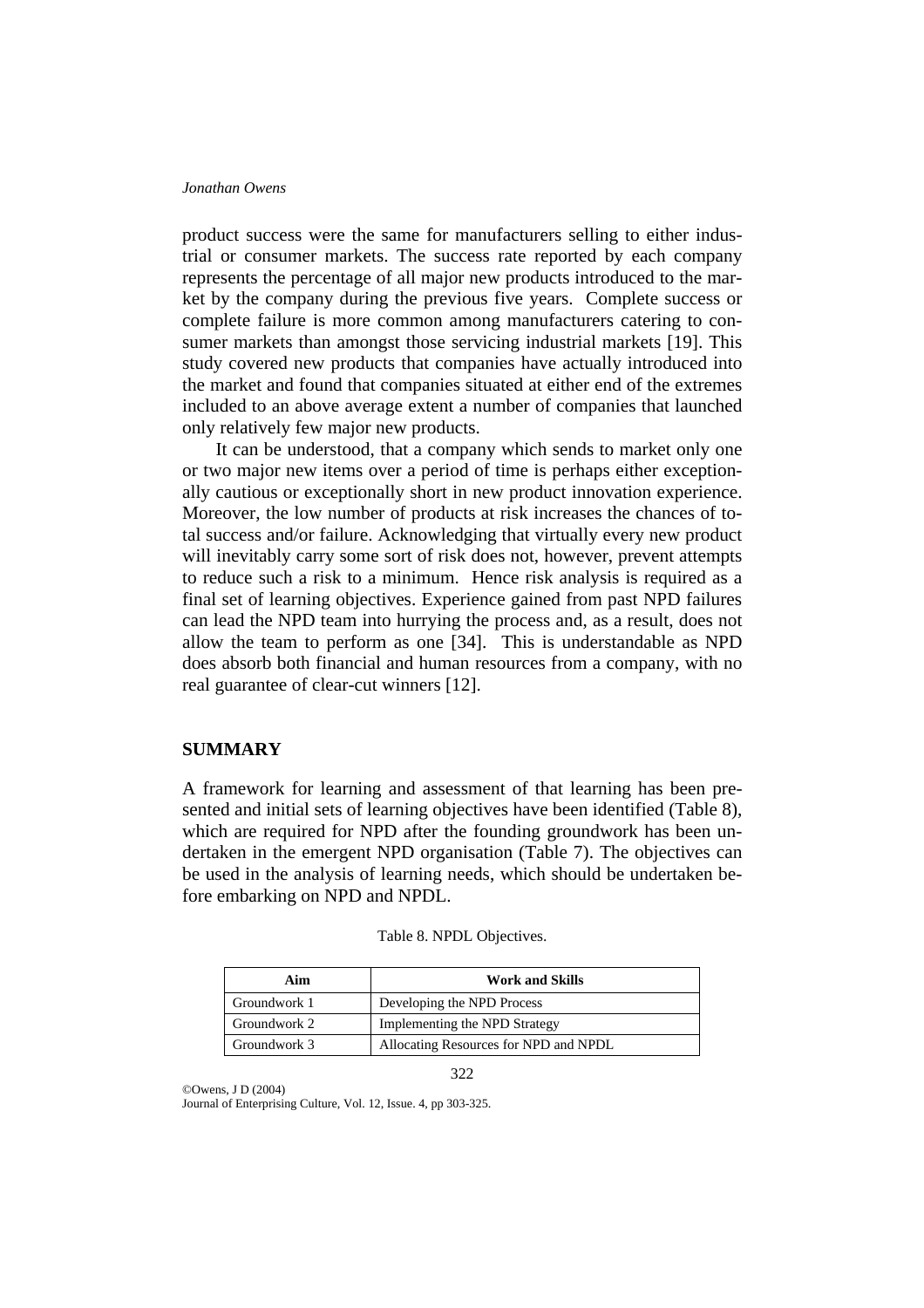product success were the same for manufacturers selling to either industrial or consumer markets. The success rate reported by each company represents the percentage of all major new products introduced to the market by the company during the previous five years. Complete success or complete failure is more common among manufacturers catering to consumer markets than amongst those servicing industrial markets [19]. This study covered new products that companies have actually introduced into the market and found that companies situated at either end of the extremes included to an above average extent a number of companies that launched only relatively few major new products.

It can be understood, that a company which sends to market only one or two major new items over a period of time is perhaps either exceptionally cautious or exceptionally short in new product innovation experience. Moreover, the low number of products at risk increases the chances of total success and/or failure. Acknowledging that virtually every new product will inevitably carry some sort of risk does not, however, prevent attempts to reduce such a risk to a minimum. Hence risk analysis is required as a final set of learning objectives. Experience gained from past NPD failures can lead the NPD team into hurrying the process and, as a result, does not allow the team to perform as one [34]. This is understandable as NPD does absorb both financial and human resources from a company, with no real guarantee of clear-cut winners [12].

#### **SUMMARY**

A framework for learning and assessment of that learning has been presented and initial sets of learning objectives have been identified (Table 8), which are required for NPD after the founding groundwork has been undertaken in the emergent NPD organisation (Table 7). The objectives can be used in the analysis of learning needs, which should be undertaken before embarking on NPD and NPDL.

| Aim          | <b>Work and Skills</b>                |  |
|--------------|---------------------------------------|--|
| Groundwork 1 | Developing the NPD Process            |  |
| Groundwork 2 | Implementing the NPD Strategy         |  |
| Groundwork 3 | Allocating Resources for NPD and NPDL |  |

322

|  |  | Table 8. NPDL Objectives. |
|--|--|---------------------------|
|--|--|---------------------------|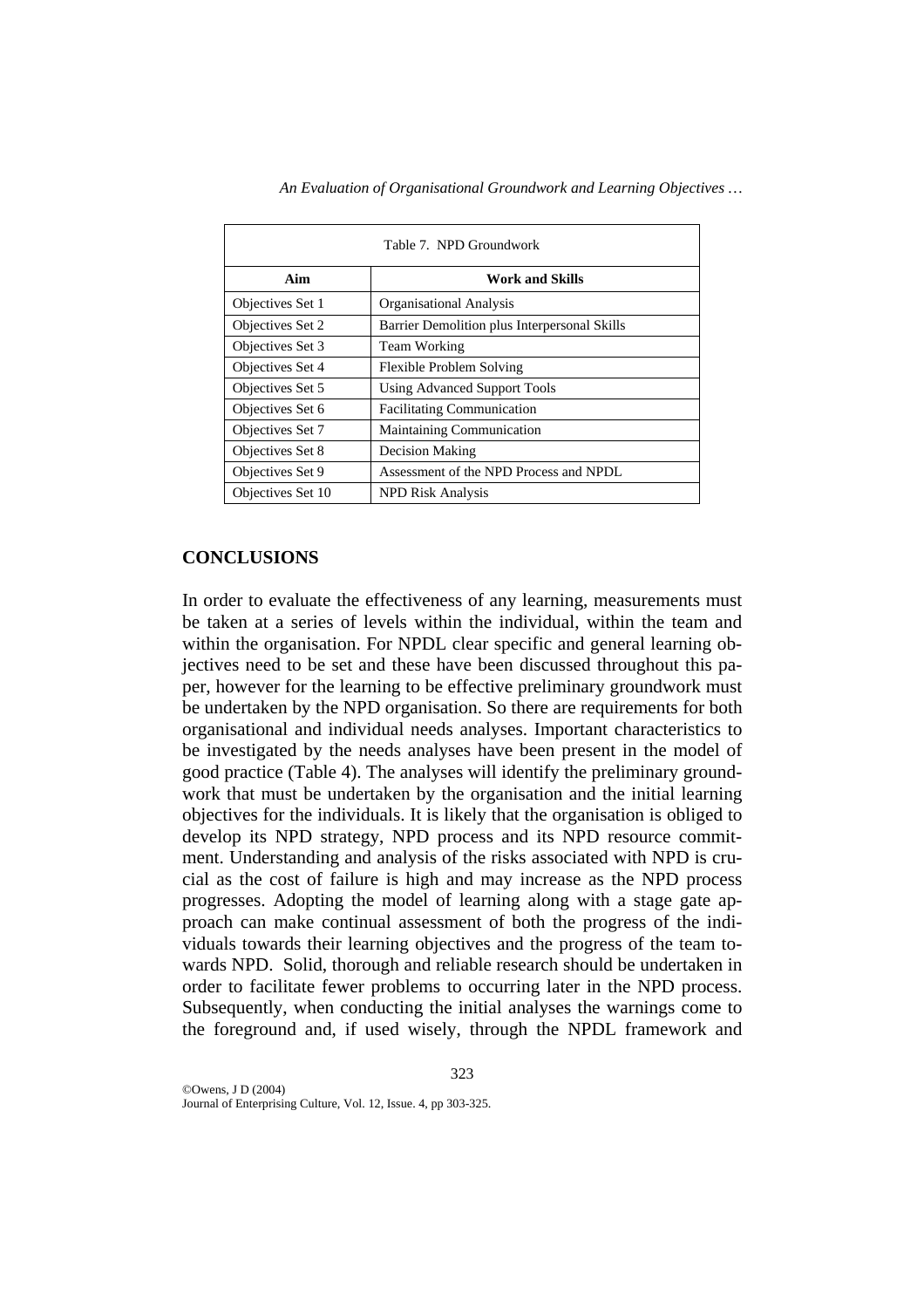| Table 7. NPD Groundwork |                                              |
|-------------------------|----------------------------------------------|
| Aim                     | Work and Skills                              |
| Objectives Set 1        | <b>Organisational Analysis</b>               |
| Objectives Set 2        | Barrier Demolition plus Interpersonal Skills |
| Objectives Set 3        | Team Working                                 |
| Objectives Set 4        | <b>Flexible Problem Solving</b>              |
| Objectives Set 5        | <b>Using Advanced Support Tools</b>          |
| Objectives Set 6        | <b>Facilitating Communication</b>            |
| Objectives Set 7        | Maintaining Communication                    |
| Objectives Set 8        | Decision Making                              |
| Objectives Set 9        | Assessment of the NPD Process and NPDL       |
| Objectives Set 10       | <b>NPD Risk Analysis</b>                     |

## **CONCLUSIONS**

In order to evaluate the effectiveness of any learning, measurements must be taken at a series of levels within the individual, within the team and within the organisation. For NPDL clear specific and general learning objectives need to be set and these have been discussed throughout this paper, however for the learning to be effective preliminary groundwork must be undertaken by the NPD organisation. So there are requirements for both organisational and individual needs analyses. Important characteristics to be investigated by the needs analyses have been present in the model of good practice (Table 4). The analyses will identify the preliminary groundwork that must be undertaken by the organisation and the initial learning objectives for the individuals. It is likely that the organisation is obliged to develop its NPD strategy, NPD process and its NPD resource commitment. Understanding and analysis of the risks associated with NPD is crucial as the cost of failure is high and may increase as the NPD process progresses. Adopting the model of learning along with a stage gate approach can make continual assessment of both the progress of the individuals towards their learning objectives and the progress of the team towards NPD. Solid, thorough and reliable research should be undertaken in order to facilitate fewer problems to occurring later in the NPD process. Subsequently, when conducting the initial analyses the warnings come to the foreground and, if used wisely, through the NPDL framework and

323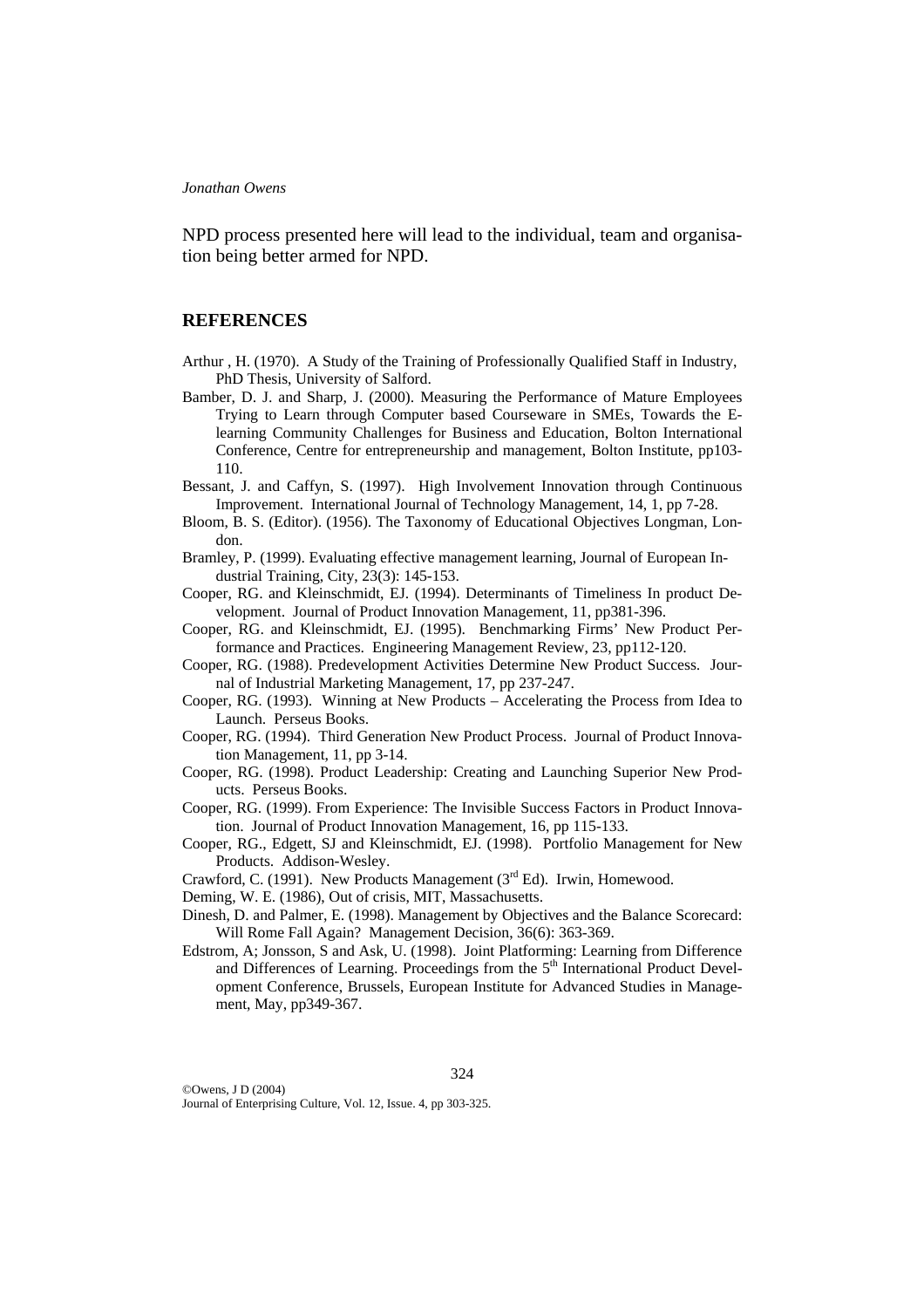NPD process presented here will lead to the individual, team and organisation being better armed for NPD.

## **REFERENCES**

- Arthur , H. (1970). A Study of the Training of Professionally Qualified Staff in Industry, PhD Thesis, University of Salford.
- Bamber, D. J. and Sharp, J. (2000). Measuring the Performance of Mature Employees Trying to Learn through Computer based Courseware in SMEs, Towards the Elearning Community Challenges for Business and Education, Bolton International Conference, Centre for entrepreneurship and management, Bolton Institute, pp103- 110.
- Bessant, J. and Caffyn, S. (1997). High Involvement Innovation through Continuous Improvement. International Journal of Technology Management, 14, 1, pp 7-28.
- Bloom, B. S. (Editor). (1956). The Taxonomy of Educational Objectives Longman, London.
- Bramley, P. (1999). Evaluating effective management learning, Journal of European Industrial Training, City, 23(3): 145-153.
- Cooper, RG. and Kleinschmidt, EJ. (1994). Determinants of Timeliness In product Development. Journal of Product Innovation Management, 11, pp381-396.
- Cooper, RG. and Kleinschmidt, EJ. (1995). Benchmarking Firms' New Product Performance and Practices. Engineering Management Review, 23, pp112-120.
- Cooper, RG. (1988). Predevelopment Activities Determine New Product Success. Journal of Industrial Marketing Management, 17, pp 237-247.
- Cooper, RG. (1993). Winning at New Products Accelerating the Process from Idea to Launch. Perseus Books.
- Cooper, RG. (1994). Third Generation New Product Process. Journal of Product Innovation Management, 11, pp 3-14.
- Cooper, RG. (1998). Product Leadership: Creating and Launching Superior New Products. Perseus Books.
- Cooper, RG. (1999). From Experience: The Invisible Success Factors in Product Innovation. Journal of Product Innovation Management, 16, pp 115-133.
- Cooper, RG., Edgett, SJ and Kleinschmidt, EJ. (1998). Portfolio Management for New Products. Addison-Wesley.
- Crawford, C. (1991). New Products Management  $(3<sup>rd</sup> Ed)$ . Irwin, Homewood.
- Deming, W. E. (1986), Out of crisis, MIT, Massachusetts.
- Dinesh, D. and Palmer, E. (1998). Management by Objectives and the Balance Scorecard: Will Rome Fall Again? Management Decision, 36(6): 363-369.
- Edstrom, A; Jonsson, S and Ask, U. (1998). Joint Platforming: Learning from Difference and Differences of Learning. Proceedings from the 5<sup>th</sup> International Product Development Conference, Brussels, European Institute for Advanced Studies in Management, May, pp349-367.

©Owens, J D (2004)

Journal of Enterprising Culture, Vol. 12, Issue. 4, pp 303-325.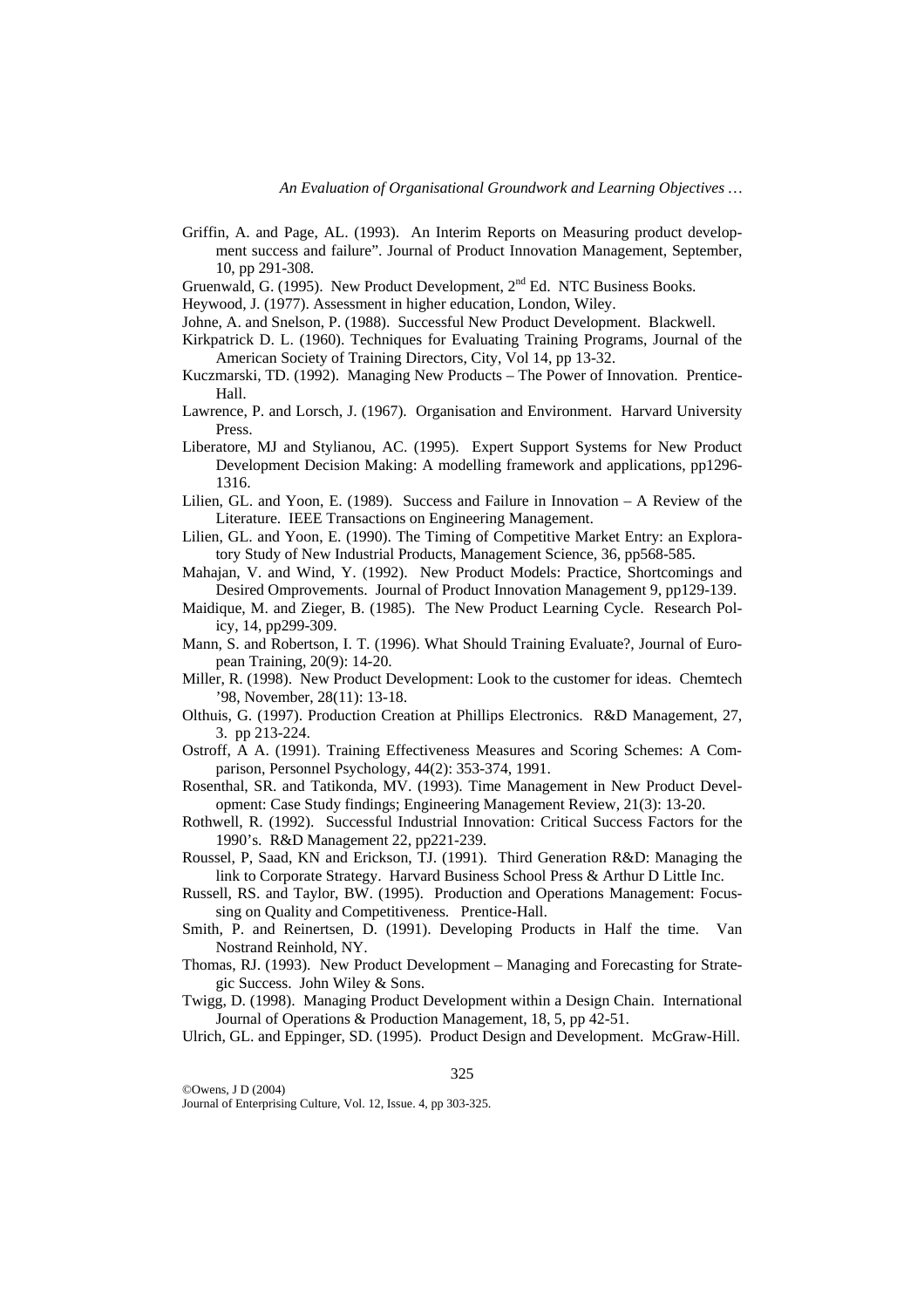Griffin, A. and Page, AL. (1993). An Interim Reports on Measuring product development success and failure". Journal of Product Innovation Management, September, 10, pp 291-308.

Gruenwald, G. (1995). New Product Development, 2<sup>nd</sup> Ed. NTC Business Books.

Heywood, J. (1977). Assessment in higher education, London, Wiley.

Johne, A. and Snelson, P. (1988). Successful New Product Development. Blackwell.

- Kirkpatrick D. L. (1960). Techniques for Evaluating Training Programs, Journal of the American Society of Training Directors, City, Vol 14, pp 13-32.
- Kuczmarski, TD. (1992). Managing New Products The Power of Innovation. Prentice-Hall.
- Lawrence, P. and Lorsch, J. (1967). Organisation and Environment. Harvard University Press.
- Liberatore, MJ and Stylianou, AC. (1995). Expert Support Systems for New Product Development Decision Making: A modelling framework and applications, pp1296- 1316.
- Lilien, GL. and Yoon, E. (1989). Success and Failure in Innovation A Review of the Literature. IEEE Transactions on Engineering Management.
- Lilien, GL. and Yoon, E. (1990). The Timing of Competitive Market Entry: an Exploratory Study of New Industrial Products, Management Science, 36, pp568-585.

Mahajan, V. and Wind, Y. (1992). New Product Models: Practice, Shortcomings and Desired Omprovements. Journal of Product Innovation Management 9, pp129-139.

- Maidique, M. and Zieger, B. (1985). The New Product Learning Cycle. Research Policy, 14, pp299-309.
- Mann, S. and Robertson, I. T. (1996). What Should Training Evaluate?, Journal of European Training, 20(9): 14-20.

Miller, R. (1998). New Product Development: Look to the customer for ideas. Chemtech '98, November, 28(11): 13-18.

- Olthuis, G. (1997). Production Creation at Phillips Electronics. R&D Management, 27, 3. pp 213-224.
- Ostroff, A A. (1991). Training Effectiveness Measures and Scoring Schemes: A Comparison, Personnel Psychology, 44(2): 353-374, 1991.

Rosenthal, SR. and Tatikonda, MV. (1993). Time Management in New Product Development: Case Study findings; Engineering Management Review, 21(3): 13-20.

Rothwell, R. (1992). Successful Industrial Innovation: Critical Success Factors for the 1990's. R&D Management 22, pp221-239.

Roussel, P, Saad, KN and Erickson, TJ. (1991). Third Generation R&D: Managing the link to Corporate Strategy. Harvard Business School Press & Arthur D Little Inc.

Russell, RS. and Taylor, BW. (1995). Production and Operations Management: Focussing on Quality and Competitiveness. Prentice-Hall.

- Smith, P. and Reinertsen, D. (1991). Developing Products in Half the time. Van Nostrand Reinhold, NY.
- Thomas, RJ. (1993). New Product Development Managing and Forecasting for Strategic Success. John Wiley & Sons.

Twigg, D. (1998). Managing Product Development within a Design Chain. International Journal of Operations & Production Management, 18, 5, pp 42-51.

Ulrich, GL. and Eppinger, SD. (1995). Product Design and Development. McGraw-Hill.

325

©Owens, J D (2004)

Journal of Enterprising Culture, Vol. 12, Issue. 4, pp 303-325.